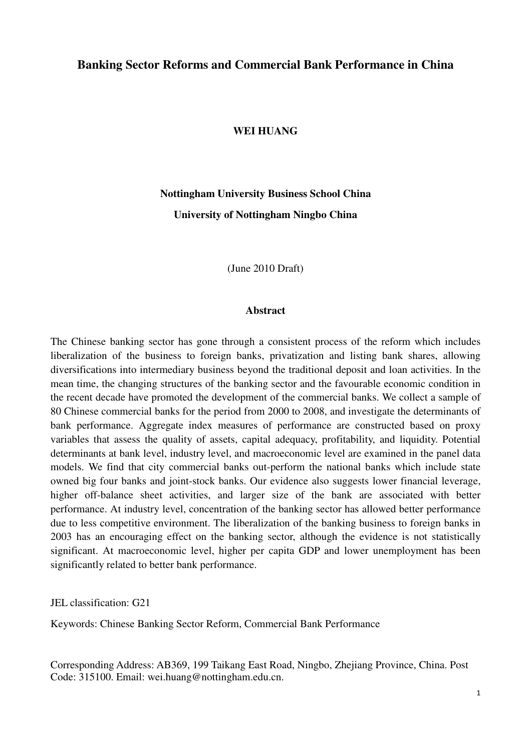# **Banking Sector Reforms and Commercial Bank Performance in China**

## **WEI HUANG**

# **Nottingham University Business School China University of Nottingham Ningbo China**

(June 2010 Draft)

#### **Abstract**

The Chinese banking sector has gone through a consistent process of the reform which includes liberalization of the business to foreign banks, privatization and listing bank shares, allowing diversifications into intermediary business beyond the traditional deposit and loan activities. In the mean time, the changing structures of the banking sector and the favourable economic condition in the recent decade have promoted the development of the commercial banks. We collect a sample of 80 Chinese commercial banks for the period from 2000 to 2008, and investigate the determinants of bank performance. Aggregate index measures of performance are constructed based on proxy variables that assess the quality of assets, capital adequacy, profitability, and liquidity. Potential determinants at bank level, industry level, and macroeconomic level are examined in the panel data models. We find that city commercial banks out-perform the national banks which include state owned big four banks and joint-stock banks. Our evidence also suggests lower financial leverage, higher off-balance sheet activities, and larger size of the bank are associated with better performance. At industry level, concentration of the banking sector has allowed better performance due to less competitive environment. The liberalization of the banking business to foreign banks in 2003 has an encouraging effect on the banking sector, although the evidence is not statistically significant. At macroeconomic level, higher per capita GDP and lower unemployment has been significantly related to better bank performance.

JEL classification: G21

Keywords: Chinese Banking Sector Reform, Commercial Bank Performance

Corresponding Address: AB369, 199 Taikang East Road, Ningbo, Zhejiang Province, China. Post Code: 315100. Email: wei.huang@nottingham.edu.cn.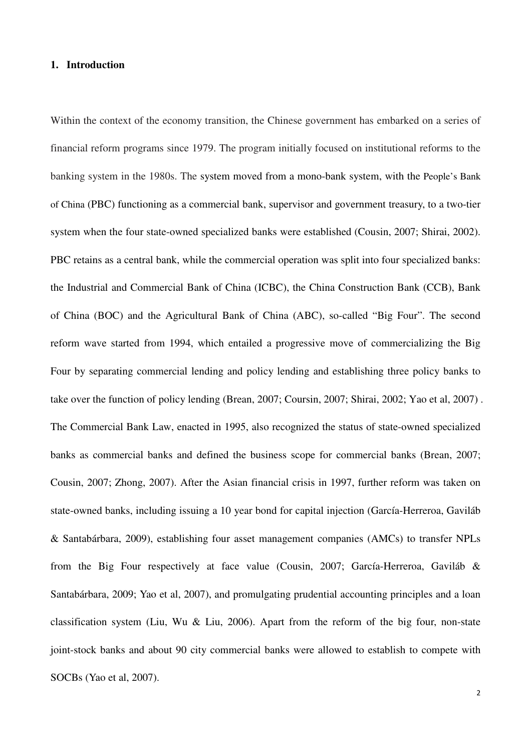# **1. Introduction**

Within the context of the economy transition, the Chinese government has embarked on a series of financial reform programs since 1979. The program initially focused on institutional reforms to the banking system in the 1980s. The system moved from a mono-bank system, with the People's Bank of China (PBC) functioning as a commercial bank, supervisor and government treasury, to a two-tier system when the four state-owned specialized banks were established (Cousin, 2007; Shirai, 2002). PBC retains as a central bank, while the commercial operation was split into four specialized banks: the Industrial and Commercial Bank of China (ICBC), the China Construction Bank (CCB), Bank of China (BOC) and the Agricultural Bank of China (ABC), so-called "Big Four". The second reform wave started from 1994, which entailed a progressive move of commercializing the Big Four by separating commercial lending and policy lending and establishing three policy banks to take over the function of policy lending (Brean, 2007; Coursin, 2007; Shirai, 2002; Yao et al, 2007) . The Commercial Bank Law, enacted in 1995, also recognized the status of state-owned specialized banks as commercial banks and defined the business scope for commercial banks (Brean, 2007; Cousin, 2007; Zhong, 2007). After the Asian financial crisis in 1997, further reform was taken on state-owned banks, including issuing a 10 year bond for capital injection (García-Herreroa, Gaviláb & Santabárbara, 2009), establishing four asset management companies (AMCs) to transfer NPLs from the Big Four respectively at face value (Cousin, 2007; García-Herreroa, Gaviláb & Santabárbara, 2009; Yao et al, 2007), and promulgating prudential accounting principles and a loan classification system (Liu, Wu & Liu, 2006). Apart from the reform of the big four, non-state joint-stock banks and about 90 city commercial banks were allowed to establish to compete with SOCBs (Yao et al, 2007).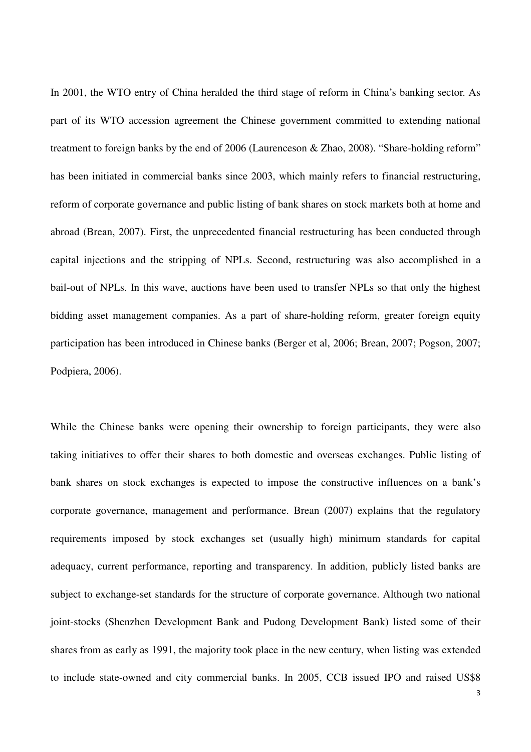In 2001, the WTO entry of China heralded the third stage of reform in China's banking sector. As part of its WTO accession agreement the Chinese government committed to extending national treatment to foreign banks by the end of 2006 (Laurenceson & Zhao, 2008). "Share-holding reform" has been initiated in commercial banks since 2003, which mainly refers to financial restructuring, reform of corporate governance and public listing of bank shares on stock markets both at home and abroad (Brean, 2007). First, the unprecedented financial restructuring has been conducted through capital injections and the stripping of NPLs. Second, restructuring was also accomplished in a bail-out of NPLs. In this wave, auctions have been used to transfer NPLs so that only the highest bidding asset management companies. As a part of share-holding reform, greater foreign equity participation has been introduced in Chinese banks (Berger et al, 2006; Brean, 2007; Pogson, 2007; Podpiera, 2006).

While the Chinese banks were opening their ownership to foreign participants, they were also taking initiatives to offer their shares to both domestic and overseas exchanges. Public listing of bank shares on stock exchanges is expected to impose the constructive influences on a bank's corporate governance, management and performance. Brean (2007) explains that the regulatory requirements imposed by stock exchanges set (usually high) minimum standards for capital adequacy, current performance, reporting and transparency. In addition, publicly listed banks are subject to exchange-set standards for the structure of corporate governance. Although two national joint-stocks (Shenzhen Development Bank and Pudong Development Bank) listed some of their shares from as early as 1991, the majority took place in the new century, when listing was extended to include state-owned and city commercial banks. In 2005, CCB issued IPO and raised US\$8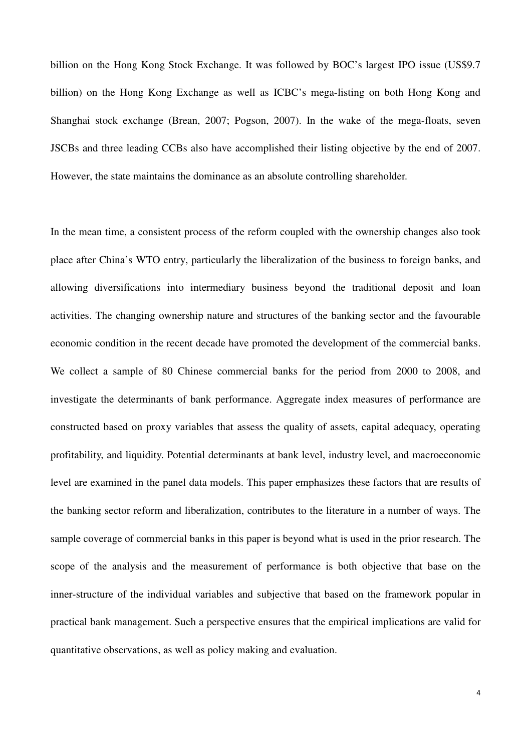billion on the Hong Kong Stock Exchange. It was followed by BOC's largest IPO issue (US\$9.7 billion) on the Hong Kong Exchange as well as ICBC's mega-listing on both Hong Kong and Shanghai stock exchange (Brean, 2007; Pogson, 2007). In the wake of the mega-floats, seven JSCBs and three leading CCBs also have accomplished their listing objective by the end of 2007. However, the state maintains the dominance as an absolute controlling shareholder.

In the mean time, a consistent process of the reform coupled with the ownership changes also took place after China's WTO entry, particularly the liberalization of the business to foreign banks, and allowing diversifications into intermediary business beyond the traditional deposit and loan activities. The changing ownership nature and structures of the banking sector and the favourable economic condition in the recent decade have promoted the development of the commercial banks. We collect a sample of 80 Chinese commercial banks for the period from 2000 to 2008, and investigate the determinants of bank performance. Aggregate index measures of performance are constructed based on proxy variables that assess the quality of assets, capital adequacy, operating profitability, and liquidity. Potential determinants at bank level, industry level, and macroeconomic level are examined in the panel data models. This paper emphasizes these factors that are results of the banking sector reform and liberalization, contributes to the literature in a number of ways. The sample coverage of commercial banks in this paper is beyond what is used in the prior research. The scope of the analysis and the measurement of performance is both objective that base on the inner-structure of the individual variables and subjective that based on the framework popular in practical bank management. Such a perspective ensures that the empirical implications are valid for quantitative observations, as well as policy making and evaluation.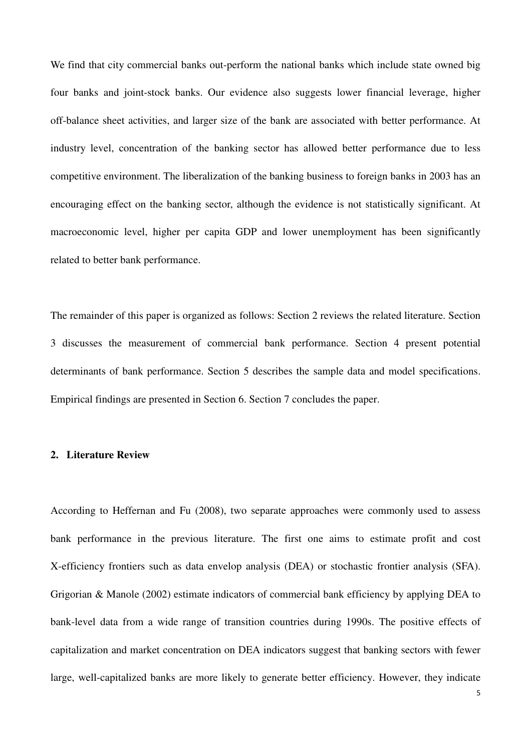We find that city commercial banks out-perform the national banks which include state owned big four banks and joint-stock banks. Our evidence also suggests lower financial leverage, higher off-balance sheet activities, and larger size of the bank are associated with better performance. At industry level, concentration of the banking sector has allowed better performance due to less competitive environment. The liberalization of the banking business to foreign banks in 2003 has an encouraging effect on the banking sector, although the evidence is not statistically significant. At macroeconomic level, higher per capita GDP and lower unemployment has been significantly related to better bank performance.

The remainder of this paper is organized as follows: Section 2 reviews the related literature. Section 3 discusses the measurement of commercial bank performance. Section 4 present potential determinants of bank performance. Section 5 describes the sample data and model specifications. Empirical findings are presented in Section 6. Section 7 concludes the paper.

## **2. Literature Review**

According to Heffernan and Fu (2008), two separate approaches were commonly used to assess bank performance in the previous literature. The first one aims to estimate profit and cost X-efficiency frontiers such as data envelop analysis (DEA) or stochastic frontier analysis (SFA). Grigorian & Manole (2002) estimate indicators of commercial bank efficiency by applying DEA to bank-level data from a wide range of transition countries during 1990s. The positive effects of capitalization and market concentration on DEA indicators suggest that banking sectors with fewer large, well-capitalized banks are more likely to generate better efficiency. However, they indicate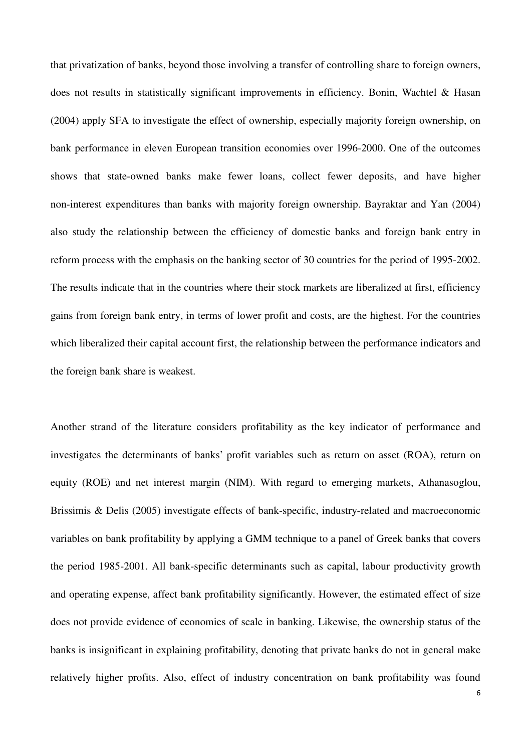that privatization of banks, beyond those involving a transfer of controlling share to foreign owners, does not results in statistically significant improvements in efficiency. Bonin, Wachtel & Hasan (2004) apply SFA to investigate the effect of ownership, especially majority foreign ownership, on bank performance in eleven European transition economies over 1996-2000. One of the outcomes shows that state-owned banks make fewer loans, collect fewer deposits, and have higher non-interest expenditures than banks with majority foreign ownership. Bayraktar and Yan (2004) also study the relationship between the efficiency of domestic banks and foreign bank entry in reform process with the emphasis on the banking sector of 30 countries for the period of 1995-2002. The results indicate that in the countries where their stock markets are liberalized at first, efficiency gains from foreign bank entry, in terms of lower profit and costs, are the highest. For the countries which liberalized their capital account first, the relationship between the performance indicators and the foreign bank share is weakest.

Another strand of the literature considers profitability as the key indicator of performance and investigates the determinants of banks' profit variables such as return on asset (ROA), return on equity (ROE) and net interest margin (NIM). With regard to emerging markets, Athanasoglou, Brissimis & Delis (2005) investigate effects of bank-specific, industry-related and macroeconomic variables on bank profitability by applying a GMM technique to a panel of Greek banks that covers the period 1985-2001. All bank-specific determinants such as capital, labour productivity growth and operating expense, affect bank profitability significantly. However, the estimated effect of size does not provide evidence of economies of scale in banking. Likewise, the ownership status of the banks is insignificant in explaining profitability, denoting that private banks do not in general make relatively higher profits. Also, effect of industry concentration on bank profitability was found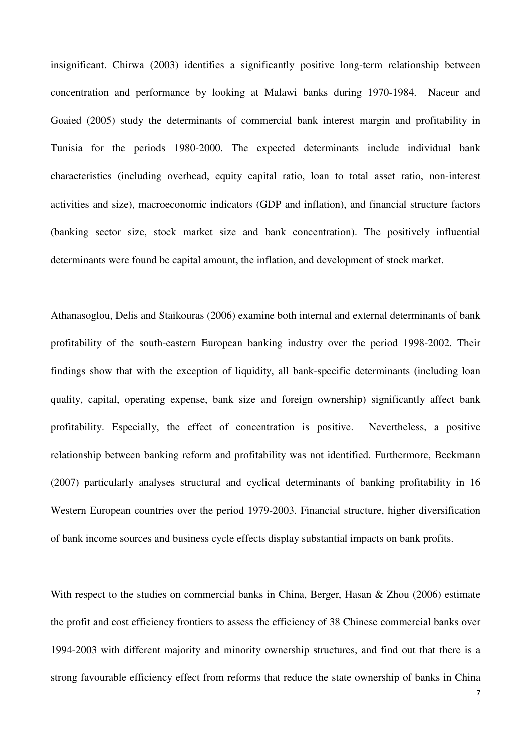insignificant. Chirwa (2003) identifies a significantly positive long-term relationship between concentration and performance by looking at Malawi banks during 1970-1984. Naceur and Goaied (2005) study the determinants of commercial bank interest margin and profitability in Tunisia for the periods 1980-2000. The expected determinants include individual bank characteristics (including overhead, equity capital ratio, loan to total asset ratio, non-interest activities and size), macroeconomic indicators (GDP and inflation), and financial structure factors (banking sector size, stock market size and bank concentration). The positively influential determinants were found be capital amount, the inflation, and development of stock market.

Athanasoglou, Delis and Staikouras (2006) examine both internal and external determinants of bank profitability of the south-eastern European banking industry over the period 1998-2002. Their findings show that with the exception of liquidity, all bank-specific determinants (including loan quality, capital, operating expense, bank size and foreign ownership) significantly affect bank profitability. Especially, the effect of concentration is positive. Nevertheless, a positive relationship between banking reform and profitability was not identified. Furthermore, Beckmann (2007) particularly analyses structural and cyclical determinants of banking profitability in 16 Western European countries over the period 1979-2003. Financial structure, higher diversification of bank income sources and business cycle effects display substantial impacts on bank profits.

With respect to the studies on commercial banks in China, Berger, Hasan & Zhou (2006) estimate the profit and cost efficiency frontiers to assess the efficiency of 38 Chinese commercial banks over 1994-2003 with different majority and minority ownership structures, and find out that there is a strong favourable efficiency effect from reforms that reduce the state ownership of banks in China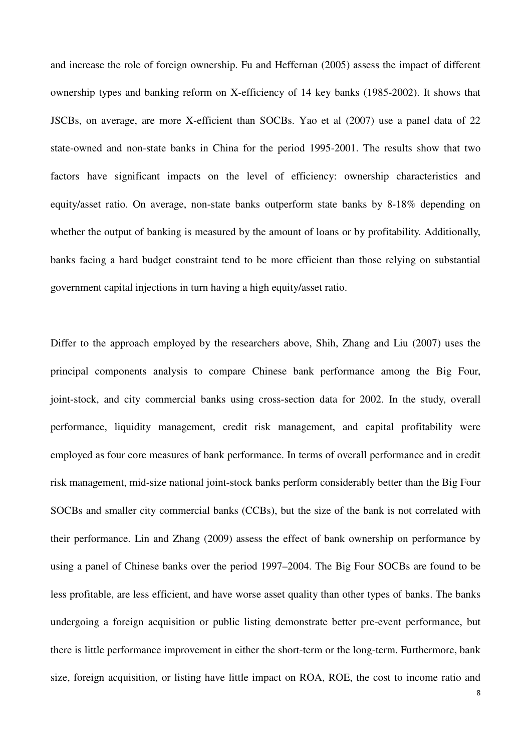and increase the role of foreign ownership. Fu and Heffernan (2005) assess the impact of different ownership types and banking reform on X-efficiency of 14 key banks (1985-2002). It shows that JSCBs, on average, are more X-efficient than SOCBs. Yao et al (2007) use a panel data of 22 state-owned and non-state banks in China for the period 1995-2001. The results show that two factors have significant impacts on the level of efficiency: ownership characteristics and equity/asset ratio. On average, non-state banks outperform state banks by 8-18% depending on whether the output of banking is measured by the amount of loans or by profitability. Additionally, banks facing a hard budget constraint tend to be more efficient than those relying on substantial government capital injections in turn having a high equity/asset ratio.

Differ to the approach employed by the researchers above, Shih, Zhang and Liu (2007) uses the principal components analysis to compare Chinese bank performance among the Big Four, joint-stock, and city commercial banks using cross-section data for 2002. In the study, overall performance, liquidity management, credit risk management, and capital profitability were employed as four core measures of bank performance. In terms of overall performance and in credit risk management, mid-size national joint-stock banks perform considerably better than the Big Four SOCBs and smaller city commercial banks (CCBs), but the size of the bank is not correlated with their performance. Lin and Zhang (2009) assess the effect of bank ownership on performance by using a panel of Chinese banks over the period 1997–2004. The Big Four SOCBs are found to be less profitable, are less efficient, and have worse asset quality than other types of banks. The banks undergoing a foreign acquisition or public listing demonstrate better pre-event performance, but there is little performance improvement in either the short-term or the long-term. Furthermore, bank size, foreign acquisition, or listing have little impact on ROA, ROE, the cost to income ratio and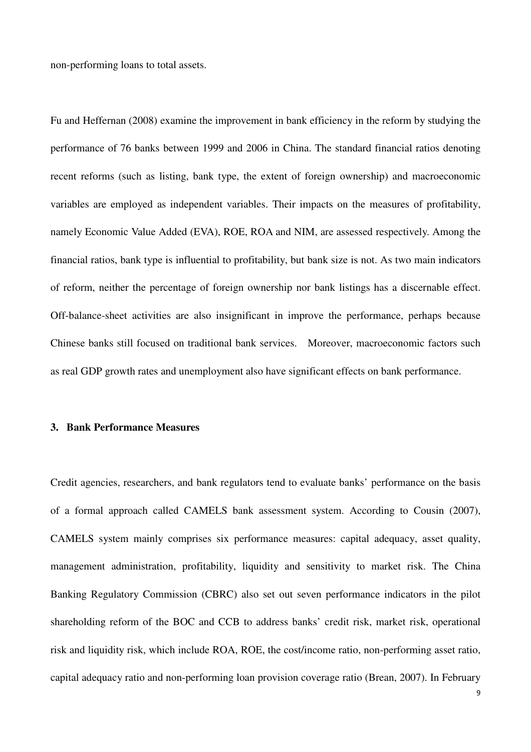non-performing loans to total assets.

Fu and Heffernan (2008) examine the improvement in bank efficiency in the reform by studying the performance of 76 banks between 1999 and 2006 in China. The standard financial ratios denoting recent reforms (such as listing, bank type, the extent of foreign ownership) and macroeconomic variables are employed as independent variables. Their impacts on the measures of profitability, namely Economic Value Added (EVA), ROE, ROA and NIM, are assessed respectively. Among the financial ratios, bank type is influential to profitability, but bank size is not. As two main indicators of reform, neither the percentage of foreign ownership nor bank listings has a discernable effect. Off-balance-sheet activities are also insignificant in improve the performance, perhaps because Chinese banks still focused on traditional bank services. Moreover, macroeconomic factors such as real GDP growth rates and unemployment also have significant effects on bank performance.

## **3. Bank Performance Measures**

Credit agencies, researchers, and bank regulators tend to evaluate banks' performance on the basis of a formal approach called CAMELS bank assessment system. According to Cousin (2007), CAMELS system mainly comprises six performance measures: capital adequacy, asset quality, management administration, profitability, liquidity and sensitivity to market risk. The China Banking Regulatory Commission (CBRC) also set out seven performance indicators in the pilot shareholding reform of the BOC and CCB to address banks' credit risk, market risk, operational risk and liquidity risk, which include ROA, ROE, the cost/income ratio, non-performing asset ratio, capital adequacy ratio and non-performing loan provision coverage ratio (Brean, 2007). In February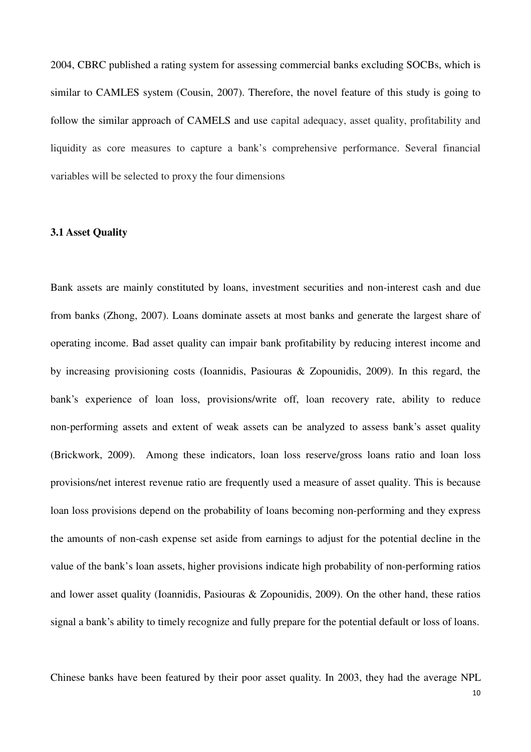2004, CBRC published a rating system for assessing commercial banks excluding SOCBs, which is similar to CAMLES system (Cousin, 2007). Therefore, the novel feature of this study is going to follow the similar approach of CAMELS and use capital adequacy, asset quality, profitability and liquidity as core measures to capture a bank's comprehensive performance. Several financial variables will be selected to proxy the four dimensions

# **3.1 Asset Quality**

Bank assets are mainly constituted by loans, investment securities and non-interest cash and due from banks (Zhong, 2007). Loans dominate assets at most banks and generate the largest share of operating income. Bad asset quality can impair bank profitability by reducing interest income and by increasing provisioning costs (Ioannidis, Pasiouras & Zopounidis, 2009). In this regard, the bank's experience of loan loss, provisions/write off, loan recovery rate, ability to reduce non-performing assets and extent of weak assets can be analyzed to assess bank's asset quality (Brickwork, 2009). Among these indicators, loan loss reserve/gross loans ratio and loan loss provisions/net interest revenue ratio are frequently used a measure of asset quality. This is because loan loss provisions depend on the probability of loans becoming non-performing and they express the amounts of non-cash expense set aside from earnings to adjust for the potential decline in the value of the bank's loan assets, higher provisions indicate high probability of non-performing ratios and lower asset quality (Ioannidis, Pasiouras & Zopounidis, 2009). On the other hand, these ratios signal a bank's ability to timely recognize and fully prepare for the potential default or loss of loans.

Chinese banks have been featured by their poor asset quality. In 2003, they had the average NPL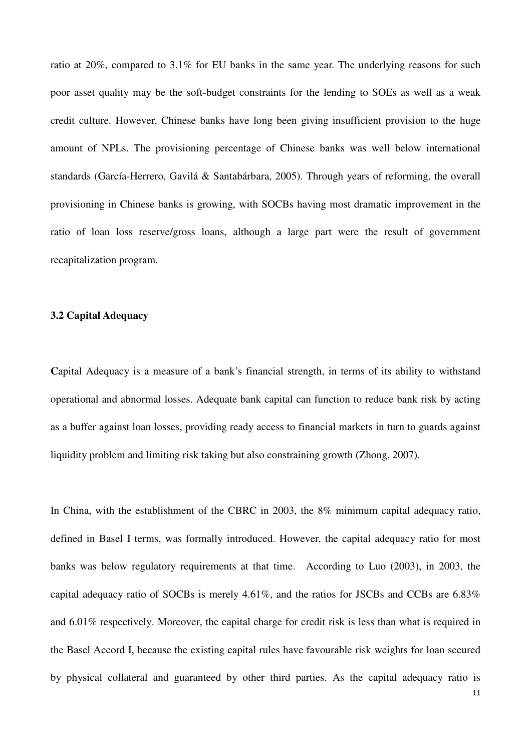ratio at 20%, compared to 3.1% for EU banks in the same year. The underlying reasons for such poor asset quality may be the soft-budget constraints for the lending to SOEs as well as a weak credit culture. However, Chinese banks have long been giving insufficient provision to the huge amount of NPLs. The provisioning percentage of Chinese banks was well below international standards (García-Herrero, Gavilá & Santabárbara, 2005). Through years of reforming, the overall provisioning in Chinese banks is growing, with SOCBs having most dramatic improvement in the ratio of loan loss reserve/gross loans, although a large part were the result of government recapitalization program.

### **3.2 Capital Adequacy**

Capital Adequacy is a measure of a bank's financial strength, in terms of its ability to withstand operational and abnormal losses. Adequate bank capital can function to reduce bank risk by acting as a buffer against loan losses, providing ready access to financial markets in turn to guards against liquidity problem and limiting risk taking but also constraining growth (Zhong, 2007).

In China, with the establishment of the CBRC in 2003, the 8% minimum capital adequacy ratio, defined in Basel I terms, was formally introduced. However, the capital adequacy ratio for most banks was below regulatory requirements at that time. According to Luo (2003), in 2003, the capital adequacy ratio of SOCBs is merely 4.61%, and the ratios for JSCBs and CCBs are 6.83% and 6.01% respectively. Moreover, the capital charge for credit risk is less than what is required in the Basel Accord I, because the existing capital rules have favourable risk weights for loan secured by physical collateral and guaranteed by other third parties. As the capital adequacy ratio is

11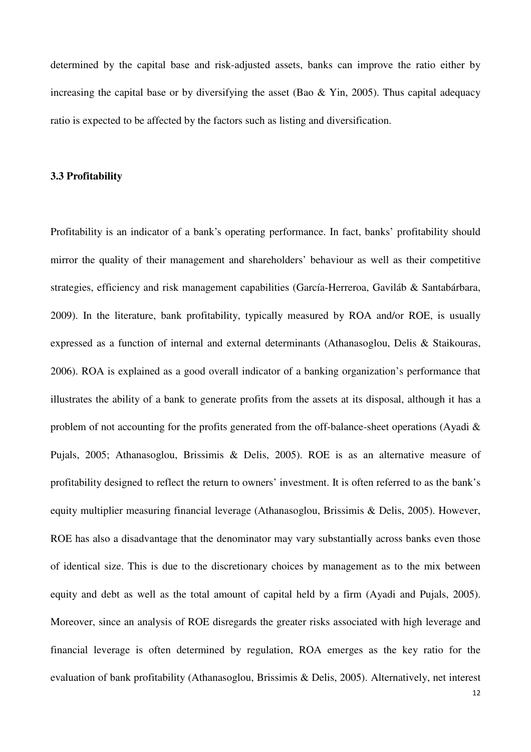determined by the capital base and risk-adjusted assets, banks can improve the ratio either by increasing the capital base or by diversifying the asset (Bao & Yin, 2005). Thus capital adequacy ratio is expected to be affected by the factors such as listing and diversification.

## **3.3 Profitability**

Profitability is an indicator of a bank's operating performance. In fact, banks' profitability should mirror the quality of their management and shareholders' behaviour as well as their competitive strategies, efficiency and risk management capabilities (García-Herreroa, Gaviláb & Santabárbara, 2009). In the literature, bank profitability, typically measured by ROA and/or ROE, is usually expressed as a function of internal and external determinants (Athanasoglou, Delis & Staikouras, 2006). ROA is explained as a good overall indicator of a banking organization's performance that illustrates the ability of a bank to generate profits from the assets at its disposal, although it has a problem of not accounting for the profits generated from the off-balance-sheet operations (Ayadi & Pujals, 2005; Athanasoglou, Brissimis & Delis, 2005). ROE is as an alternative measure of profitability designed to reflect the return to owners' investment. It is often referred to as the bank's equity multiplier measuring financial leverage (Athanasoglou, Brissimis & Delis, 2005). However, ROE has also a disadvantage that the denominator may vary substantially across banks even those of identical size. This is due to the discretionary choices by management as to the mix between equity and debt as well as the total amount of capital held by a firm (Ayadi and Pujals, 2005). Moreover, since an analysis of ROE disregards the greater risks associated with high leverage and financial leverage is often determined by regulation, ROA emerges as the key ratio for the evaluation of bank profitability (Athanasoglou, Brissimis & Delis, 2005). Alternatively, net interest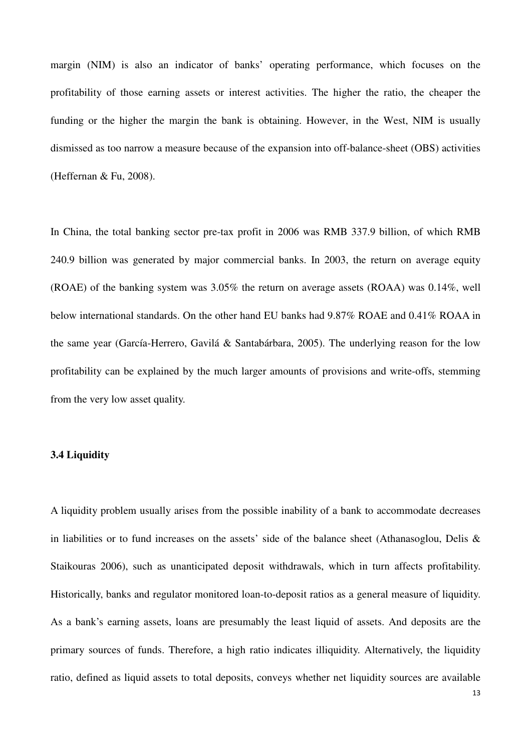margin (NIM) is also an indicator of banks' operating performance, which focuses on the profitability of those earning assets or interest activities. The higher the ratio, the cheaper the funding or the higher the margin the bank is obtaining. However, in the West, NIM is usually dismissed as too narrow a measure because of the expansion into off-balance-sheet (OBS) activities (Heffernan & Fu, 2008).

In China, the total banking sector pre-tax profit in 2006 was RMB 337.9 billion, of which RMB 240.9 billion was generated by major commercial banks. In 2003, the return on average equity (ROAE) of the banking system was 3.05% the return on average assets (ROAA) was 0.14%, well below international standards. On the other hand EU banks had 9.87% ROAE and 0.41% ROAA in the same year (García-Herrero, Gavilá & Santabárbara, 2005). The underlying reason for the low profitability can be explained by the much larger amounts of provisions and write-offs, stemming from the very low asset quality.

# **3.4 Liquidity**

A liquidity problem usually arises from the possible inability of a bank to accommodate decreases in liabilities or to fund increases on the assets' side of the balance sheet (Athanasoglou, Delis & Staikouras 2006), such as unanticipated deposit withdrawals, which in turn affects profitability. Historically, banks and regulator monitored loan-to-deposit ratios as a general measure of liquidity. As a bank's earning assets, loans are presumably the least liquid of assets. And deposits are the primary sources of funds. Therefore, a high ratio indicates illiquidity. Alternatively, the liquidity ratio, defined as liquid assets to total deposits, conveys whether net liquidity sources are available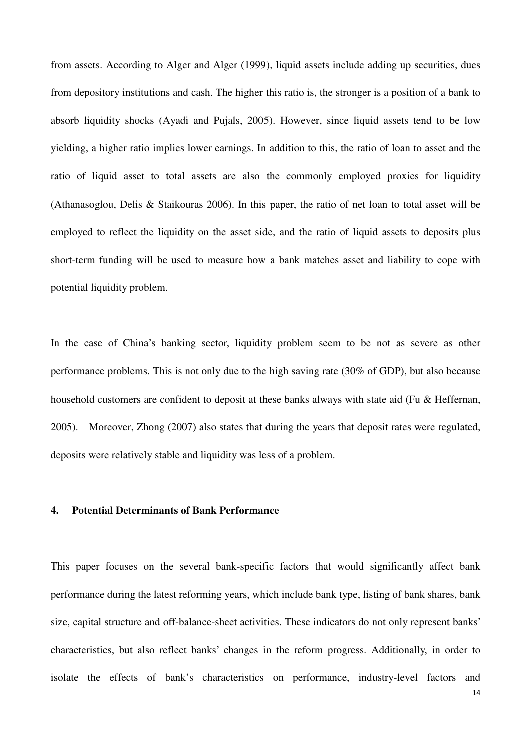from assets. According to Alger and Alger (1999), liquid assets include adding up securities, dues from depository institutions and cash. The higher this ratio is, the stronger is a position of a bank to absorb liquidity shocks (Ayadi and Pujals, 2005). However, since liquid assets tend to be low yielding, a higher ratio implies lower earnings. In addition to this, the ratio of loan to asset and the ratio of liquid asset to total assets are also the commonly employed proxies for liquidity (Athanasoglou, Delis & Staikouras 2006). In this paper, the ratio of net loan to total asset will be employed to reflect the liquidity on the asset side, and the ratio of liquid assets to deposits plus short-term funding will be used to measure how a bank matches asset and liability to cope with potential liquidity problem.

In the case of China's banking sector, liquidity problem seem to be not as severe as other performance problems. This is not only due to the high saving rate (30% of GDP), but also because household customers are confident to deposit at these banks always with state aid (Fu & Heffernan, 2005). Moreover, Zhong (2007) also states that during the years that deposit rates were regulated, deposits were relatively stable and liquidity was less of a problem.

### **4. Potential Determinants of Bank Performance**

This paper focuses on the several bank-specific factors that would significantly affect bank performance during the latest reforming years, which include bank type, listing of bank shares, bank size, capital structure and off-balance-sheet activities. These indicators do not only represent banks' characteristics, but also reflect banks' changes in the reform progress. Additionally, in order to isolate the effects of bank's characteristics on performance, industry-level factors and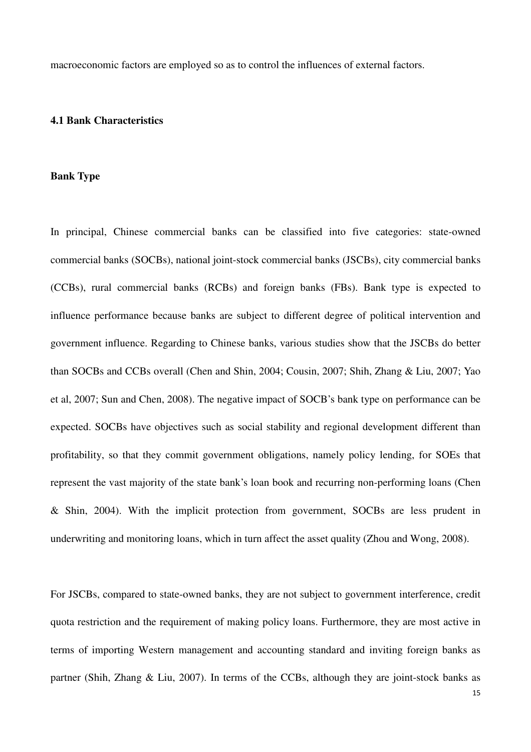macroeconomic factors are employed so as to control the influences of external factors.

#### **4.1 Bank Characteristics**

#### **Bank Type**

In principal, Chinese commercial banks can be classified into five categories: state-owned commercial banks (SOCBs), national joint-stock commercial banks (JSCBs), city commercial banks (CCBs), rural commercial banks (RCBs) and foreign banks (FBs). Bank type is expected to influence performance because banks are subject to different degree of political intervention and government influence. Regarding to Chinese banks, various studies show that the JSCBs do better than SOCBs and CCBs overall (Chen and Shin, 2004; Cousin, 2007; Shih, Zhang & Liu, 2007; Yao et al, 2007; Sun and Chen, 2008). The negative impact of SOCB's bank type on performance can be expected. SOCBs have objectives such as social stability and regional development different than profitability, so that they commit government obligations, namely policy lending, for SOEs that represent the vast majority of the state bank's loan book and recurring non-performing loans (Chen & Shin, 2004). With the implicit protection from government, SOCBs are less prudent in underwriting and monitoring loans, which in turn affect the asset quality (Zhou and Wong, 2008).

For JSCBs, compared to state-owned banks, they are not subject to government interference, credit quota restriction and the requirement of making policy loans. Furthermore, they are most active in terms of importing Western management and accounting standard and inviting foreign banks as partner (Shih, Zhang & Liu, 2007). In terms of the CCBs, although they are joint-stock banks as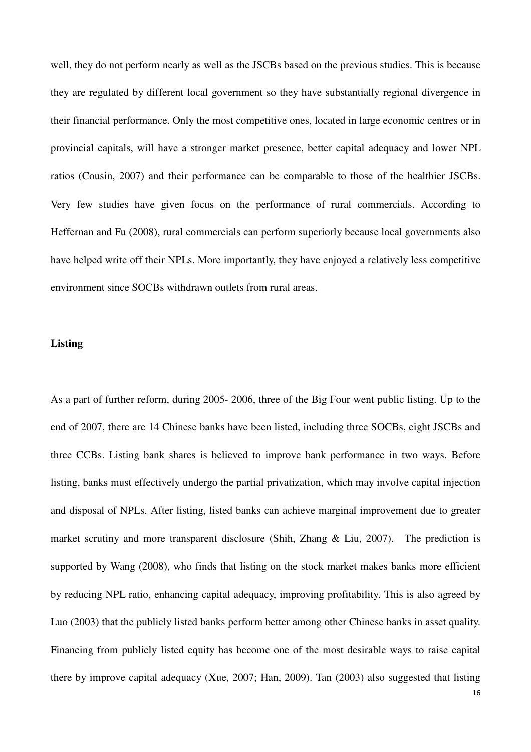well, they do not perform nearly as well as the JSCBs based on the previous studies. This is because they are regulated by different local government so they have substantially regional divergence in their financial performance. Only the most competitive ones, located in large economic centres or in provincial capitals, will have a stronger market presence, better capital adequacy and lower NPL ratios (Cousin, 2007) and their performance can be comparable to those of the healthier JSCBs. Very few studies have given focus on the performance of rural commercials. According to Heffernan and Fu (2008), rural commercials can perform superiorly because local governments also have helped write off their NPLs. More importantly, they have enjoyed a relatively less competitive environment since SOCBs withdrawn outlets from rural areas.

## **Listing**

As a part of further reform, during 2005- 2006, three of the Big Four went public listing. Up to the end of 2007, there are 14 Chinese banks have been listed, including three SOCBs, eight JSCBs and three CCBs. Listing bank shares is believed to improve bank performance in two ways. Before listing, banks must effectively undergo the partial privatization, which may involve capital injection and disposal of NPLs. After listing, listed banks can achieve marginal improvement due to greater market scrutiny and more transparent disclosure (Shih, Zhang & Liu, 2007). The prediction is supported by Wang (2008), who finds that listing on the stock market makes banks more efficient by reducing NPL ratio, enhancing capital adequacy, improving profitability. This is also agreed by Luo (2003) that the publicly listed banks perform better among other Chinese banks in asset quality. Financing from publicly listed equity has become one of the most desirable ways to raise capital there by improve capital adequacy (Xue, 2007; Han, 2009). Tan (2003) also suggested that listing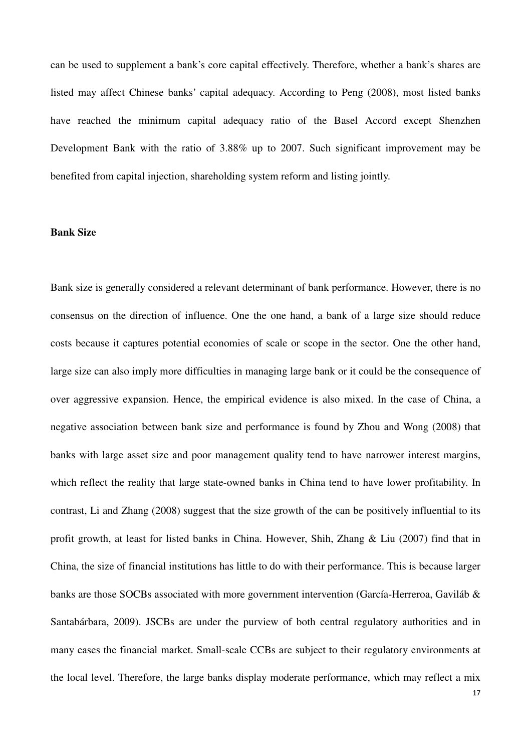can be used to supplement a bank's core capital effectively. Therefore, whether a bank's shares are listed may affect Chinese banks' capital adequacy. According to Peng (2008), most listed banks have reached the minimum capital adequacy ratio of the Basel Accord except Shenzhen Development Bank with the ratio of 3.88% up to 2007. Such significant improvement may be benefited from capital injection, shareholding system reform and listing jointly.

# **Bank Size**

Bank size is generally considered a relevant determinant of bank performance. However, there is no consensus on the direction of influence. One the one hand, a bank of a large size should reduce costs because it captures potential economies of scale or scope in the sector. One the other hand, large size can also imply more difficulties in managing large bank or it could be the consequence of over aggressive expansion. Hence, the empirical evidence is also mixed. In the case of China, a negative association between bank size and performance is found by Zhou and Wong (2008) that banks with large asset size and poor management quality tend to have narrower interest margins, which reflect the reality that large state-owned banks in China tend to have lower profitability. In contrast, Li and Zhang (2008) suggest that the size growth of the can be positively influential to its profit growth, at least for listed banks in China. However, Shih, Zhang & Liu (2007) find that in China, the size of financial institutions has little to do with their performance. This is because larger banks are those SOCBs associated with more government intervention (García-Herreroa, Gaviláb & Santabárbara, 2009). JSCBs are under the purview of both central regulatory authorities and in many cases the financial market. Small-scale CCBs are subject to their regulatory environments at the local level. Therefore, the large banks display moderate performance, which may reflect a mix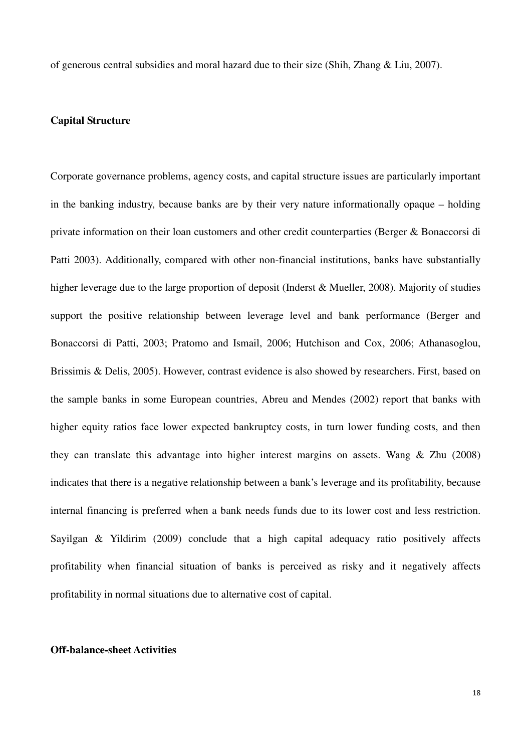of generous central subsidies and moral hazard due to their size (Shih, Zhang & Liu, 2007).

## **Capital Structure**

Corporate governance problems, agency costs, and capital structure issues are particularly important in the banking industry, because banks are by their very nature informationally opaque – holding private information on their loan customers and other credit counterparties (Berger & Bonaccorsi di Patti 2003). Additionally, compared with other non-financial institutions, banks have substantially higher leverage due to the large proportion of deposit (Inderst & Mueller, 2008). Majority of studies support the positive relationship between leverage level and bank performance (Berger and Bonaccorsi di Patti, 2003; Pratomo and Ismail, 2006; Hutchison and Cox, 2006; Athanasoglou, Brissimis & Delis, 2005). However, contrast evidence is also showed by researchers. First, based on the sample banks in some European countries, Abreu and Mendes (2002) report that banks with higher equity ratios face lower expected bankruptcy costs, in turn lower funding costs, and then they can translate this advantage into higher interest margins on assets. Wang & Zhu (2008) indicates that there is a negative relationship between a bank's leverage and its profitability, because internal financing is preferred when a bank needs funds due to its lower cost and less restriction. Sayilgan & Yildirim (2009) conclude that a high capital adequacy ratio positively affects profitability when financial situation of banks is perceived as risky and it negatively affects profitability in normal situations due to alternative cost of capital.

## **Off-balance-sheet Activities**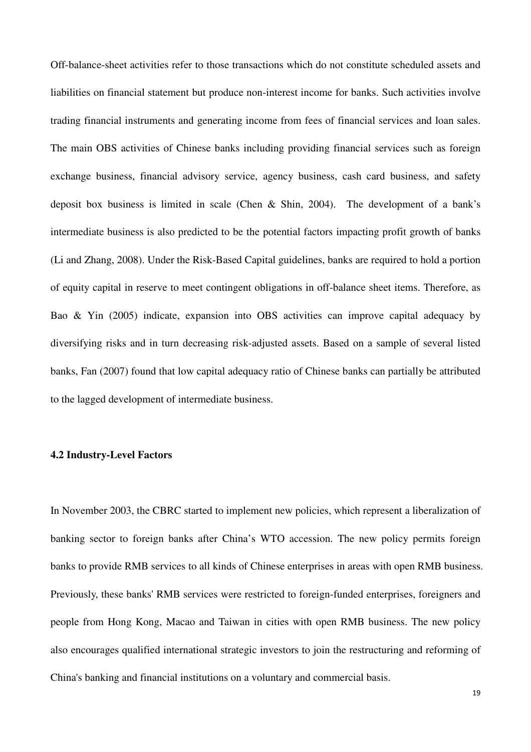Off-balance-sheet activities refer to those transactions which do not constitute scheduled assets and liabilities on financial statement but produce non-interest income for banks. Such activities involve trading financial instruments and generating income from fees of financial services and loan sales. The main OBS activities of Chinese banks including providing financial services such as foreign exchange business, financial advisory service, agency business, cash card business, and safety deposit box business is limited in scale (Chen & Shin, 2004). The development of a bank's intermediate business is also predicted to be the potential factors impacting profit growth of banks (Li and Zhang, 2008). Under the Risk-Based Capital guidelines, banks are required to hold a portion of equity capital in reserve to meet contingent obligations in off-balance sheet items. Therefore, as Bao & Yin (2005) indicate, expansion into OBS activities can improve capital adequacy by diversifying risks and in turn decreasing risk-adjusted assets. Based on a sample of several listed banks, Fan (2007) found that low capital adequacy ratio of Chinese banks can partially be attributed to the lagged development of intermediate business.

# **4.2 Industry-Level Factors**

In November 2003, the CBRC started to implement new policies, which represent a liberalization of banking sector to foreign banks after China's WTO accession. The new policy permits foreign banks to provide RMB services to all kinds of Chinese enterprises in areas with open RMB business. Previously, these banks' RMB services were restricted to foreign-funded enterprises, foreigners and people from Hong Kong, Macao and Taiwan in cities with open RMB business. The new policy also encourages qualified international strategic investors to join the restructuring and reforming of China's banking and financial institutions on a voluntary and commercial basis.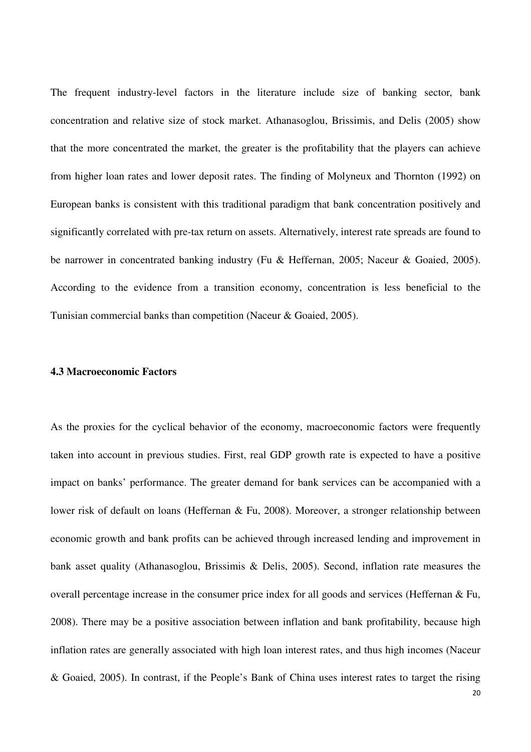The frequent industry-level factors in the literature include size of banking sector, bank concentration and relative size of stock market. Athanasoglou, Brissimis, and Delis (2005) show that the more concentrated the market, the greater is the profitability that the players can achieve from higher loan rates and lower deposit rates. The finding of Molyneux and Thornton (1992) on European banks is consistent with this traditional paradigm that bank concentration positively and significantly correlated with pre-tax return on assets. Alternatively, interest rate spreads are found to be narrower in concentrated banking industry (Fu & Heffernan, 2005; Naceur & Goaied, 2005). According to the evidence from a transition economy, concentration is less beneficial to the Tunisian commercial banks than competition (Naceur & Goaied, 2005).

## **4.3 Macroeconomic Factors**

As the proxies for the cyclical behavior of the economy, macroeconomic factors were frequently taken into account in previous studies. First, real GDP growth rate is expected to have a positive impact on banks' performance. The greater demand for bank services can be accompanied with a lower risk of default on loans (Heffernan & Fu, 2008). Moreover, a stronger relationship between economic growth and bank profits can be achieved through increased lending and improvement in bank asset quality (Athanasoglou, Brissimis & Delis, 2005). Second, inflation rate measures the overall percentage increase in the consumer price index for all goods and services (Heffernan & Fu, 2008). There may be a positive association between inflation and bank profitability, because high inflation rates are generally associated with high loan interest rates, and thus high incomes (Naceur & Goaied, 2005). In contrast, if the People's Bank of China uses interest rates to target the rising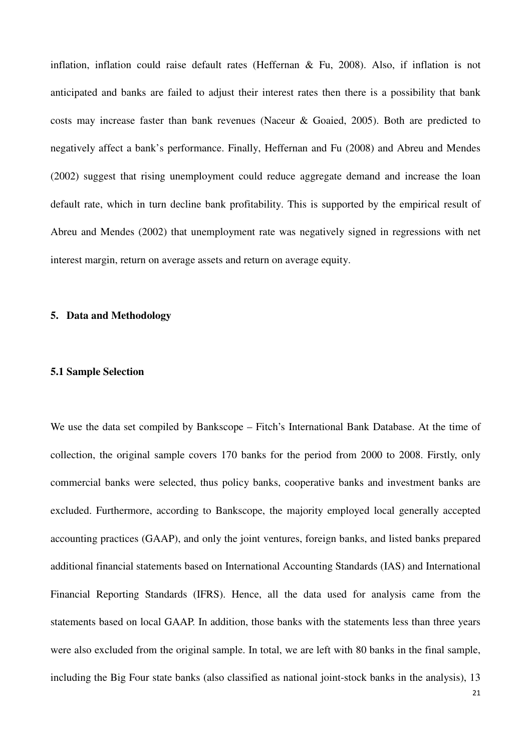inflation, inflation could raise default rates (Heffernan & Fu, 2008). Also, if inflation is not anticipated and banks are failed to adjust their interest rates then there is a possibility that bank costs may increase faster than bank revenues (Naceur & Goaied, 2005). Both are predicted to negatively affect a bank's performance. Finally, Heffernan and Fu (2008) and Abreu and Mendes (2002) suggest that rising unemployment could reduce aggregate demand and increase the loan default rate, which in turn decline bank profitability. This is supported by the empirical result of Abreu and Mendes (2002) that unemployment rate was negatively signed in regressions with net interest margin, return on average assets and return on average equity.

### **5. Data and Methodology**

#### **5.1 Sample Selection**

We use the data set compiled by Bankscope – Fitch's International Bank Database. At the time of collection, the original sample covers 170 banks for the period from 2000 to 2008. Firstly, only commercial banks were selected, thus policy banks, cooperative banks and investment banks are excluded. Furthermore, according to Bankscope, the majority employed local generally accepted accounting practices (GAAP), and only the joint ventures, foreign banks, and listed banks prepared additional financial statements based on International Accounting Standards (IAS) and International Financial Reporting Standards (IFRS). Hence, all the data used for analysis came from the statements based on local GAAP. In addition, those banks with the statements less than three years were also excluded from the original sample. In total, we are left with 80 banks in the final sample, including the Big Four state banks (also classified as national joint-stock banks in the analysis), 13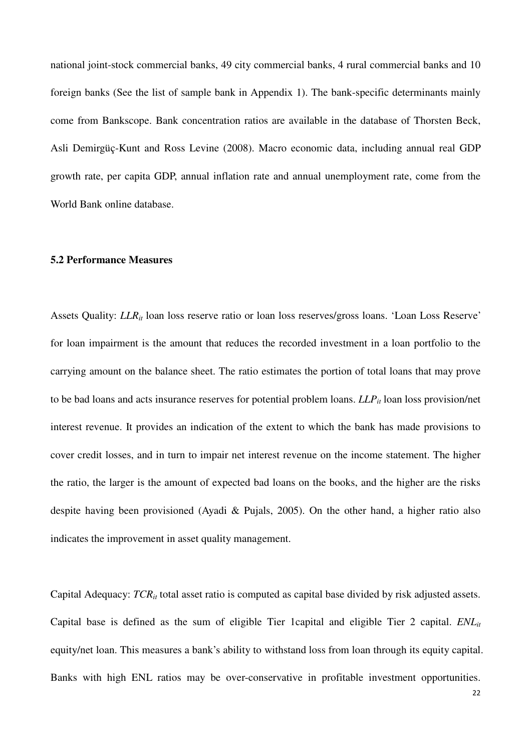national joint-stock commercial banks, 49 city commercial banks, 4 rural commercial banks and 10 foreign banks (See the list of sample bank in Appendix 1). The bank-specific determinants mainly come from Bankscope. Bank concentration ratios are available in the database of Thorsten Beck, Asli Demirgüç-Kunt and Ross Levine (2008). Macro economic data, including annual real GDP growth rate, per capita GDP, annual inflation rate and annual unemployment rate, come from the World Bank online database.

## **5.2 Performance Measures**

Assets Quality: *LLR*<sub>*it*</sub> loan loss reserve ratio or loan loss reserves/gross loans. 'Loan Loss Reserve' for loan impairment is the amount that reduces the recorded investment in a loan portfolio to the carrying amount on the balance sheet. The ratio estimates the portion of total loans that may prove to be bad loans and acts insurance reserves for potential problem loans. *LLPit* loan loss provision/net interest revenue. It provides an indication of the extent to which the bank has made provisions to cover credit losses, and in turn to impair net interest revenue on the income statement. The higher the ratio, the larger is the amount of expected bad loans on the books, and the higher are the risks despite having been provisioned (Ayadi & Pujals, 2005). On the other hand, a higher ratio also indicates the improvement in asset quality management.

Capital Adequacy:  $TCR<sub>it</sub>$  total asset ratio is computed as capital base divided by risk adjusted assets. Capital base is defined as the sum of eligible Tier 1capital and eligible Tier 2 capital. *ENLit* equity/net loan. This measures a bank's ability to withstand loss from loan through its equity capital. Banks with high ENL ratios may be over-conservative in profitable investment opportunities.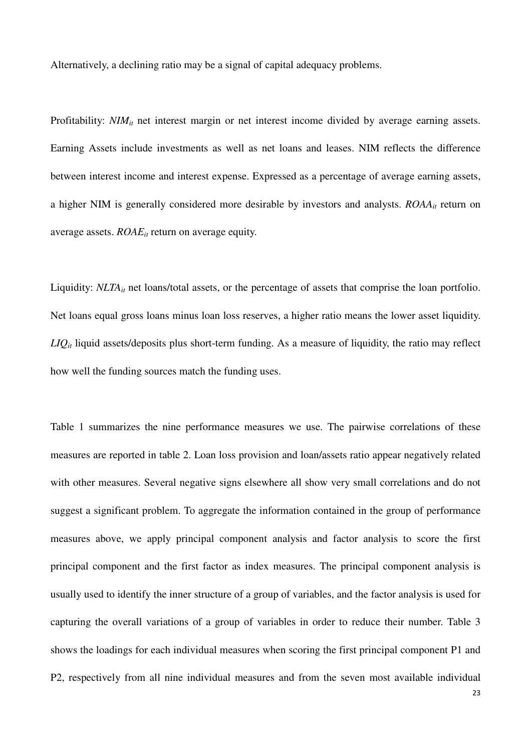Alternatively, a declining ratio may be a signal of capital adequacy problems.

Profitability: *NIM*<sup>*it*</sup> net interest margin or net interest income divided by average earning assets. Earning Assets include investments as well as net loans and leases. NIM reflects the difference between interest income and interest expense. Expressed as a percentage of average earning assets, a higher NIM is generally considered more desirable by investors and analysts. *ROAAit* return on average assets. *ROAEit* return on average equity.

Liquidity: *NLTA*<sup>*it*</sup> net loans/total assets, or the percentage of assets that comprise the loan portfolio. Net loans equal gross loans minus loan loss reserves, a higher ratio means the lower asset liquidity. *LIQit* liquid assets/deposits plus short-term funding. As a measure of liquidity, the ratio may reflect how well the funding sources match the funding uses.

Table 1 summarizes the nine performance measures we use. The pairwise correlations of these measures are reported in table 2. Loan loss provision and loan/assets ratio appear negatively related with other measures. Several negative signs elsewhere all show very small correlations and do not suggest a significant problem. To aggregate the information contained in the group of performance measures above, we apply principal component analysis and factor analysis to score the first principal component and the first factor as index measures. The principal component analysis is usually used to identify the inner structure of a group of variables, and the factor analysis is used for capturing the overall variations of a group of variables in order to reduce their number. Table 3 shows the loadings for each individual measures when scoring the first principal component P1 and P2, respectively from all nine individual measures and from the seven most available individual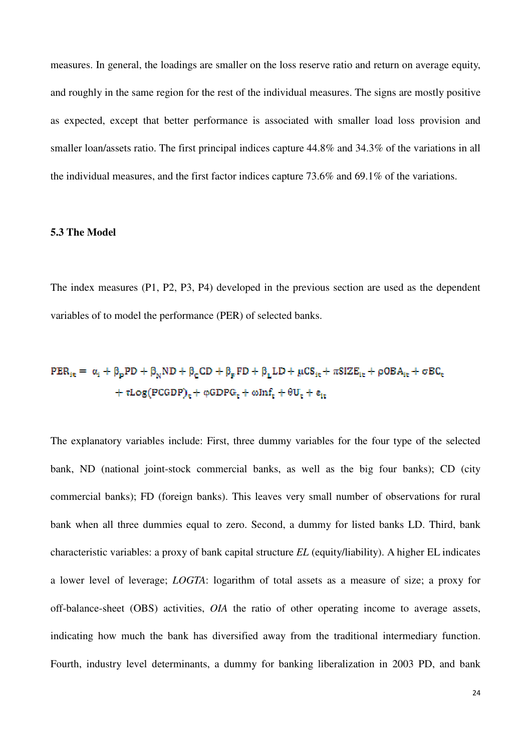measures. In general, the loadings are smaller on the loss reserve ratio and return on average equity, and roughly in the same region for the rest of the individual measures. The signs are mostly positive as expected, except that better performance is associated with smaller load loss provision and smaller loan/assets ratio. The first principal indices capture 44.8% and 34.3% of the variations in all the individual measures, and the first factor indices capture 73.6% and 69.1% of the variations.

## **5.3 The Model**

The index measures (P1, P2, P3, P4) developed in the previous section are used as the dependent variables of to model the performance (PER) of selected banks.

# $PER_{it} = \alpha_i + \beta_p PD + \beta_w ND + \beta_c CD + \beta_e FD + \beta_t LD + \mu CS_{it} + \pi SIZE_{it} + \rho OBA_{it} + \sigma BC_t$  $\phantom{L}+\tau Log(PCGDP)_t+\phi GDPG_t+\omega Inf_t+\theta U_t+\epsilon_{it}$

The explanatory variables include: First, three dummy variables for the four type of the selected bank, ND (national joint-stock commercial banks, as well as the big four banks); CD (city commercial banks); FD (foreign banks). This leaves very small number of observations for rural bank when all three dummies equal to zero. Second, a dummy for listed banks LD. Third, bank characteristic variables: a proxy of bank capital structure *EL* (equity/liability). A higher EL indicates a lower level of leverage; *LOGTA*: logarithm of total assets as a measure of size; a proxy for off-balance-sheet (OBS) activities, *OIA* the ratio of other operating income to average assets, indicating how much the bank has diversified away from the traditional intermediary function. Fourth, industry level determinants, a dummy for banking liberalization in 2003 PD, and bank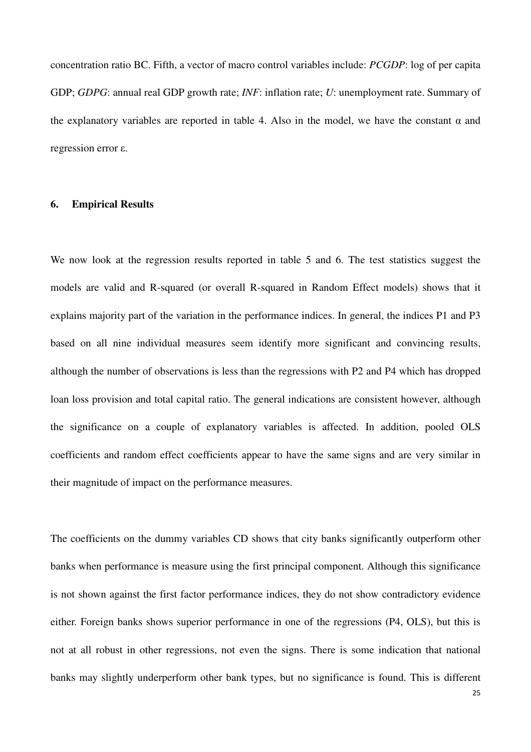concentration ratio BC. Fifth, a vector of macro control variables include: *PCGDP*: log of per capita GDP; *GDPG*: annual real GDP growth rate; *INF*: inflation rate; *U*: unemployment rate. Summary of the explanatory variables are reported in table 4. Also in the model, we have the constant  $\alpha$  and regression error ε.

# **6. Empirical Results**

We now look at the regression results reported in table 5 and 6. The test statistics suggest the models are valid and R-squared (or overall R-squared in Random Effect models) shows that it explains majority part of the variation in the performance indices. In general, the indices P1 and P3 based on all nine individual measures seem identify more significant and convincing results, although the number of observations is less than the regressions with P2 and P4 which has dropped loan loss provision and total capital ratio. The general indications are consistent however, although the significance on a couple of explanatory variables is affected. In addition, pooled OLS coefficients and random effect coefficients appear to have the same signs and are very similar in their magnitude of impact on the performance measures.

The coefficients on the dummy variables CD shows that city banks significantly outperform other banks when performance is measure using the first principal component. Although this significance is not shown against the first factor performance indices, they do not show contradictory evidence either. Foreign banks shows superior performance in one of the regressions (P4, OLS), but this is not at all robust in other regressions, not even the signs. There is some indication that national banks may slightly underperform other bank types, but no significance is found. This is different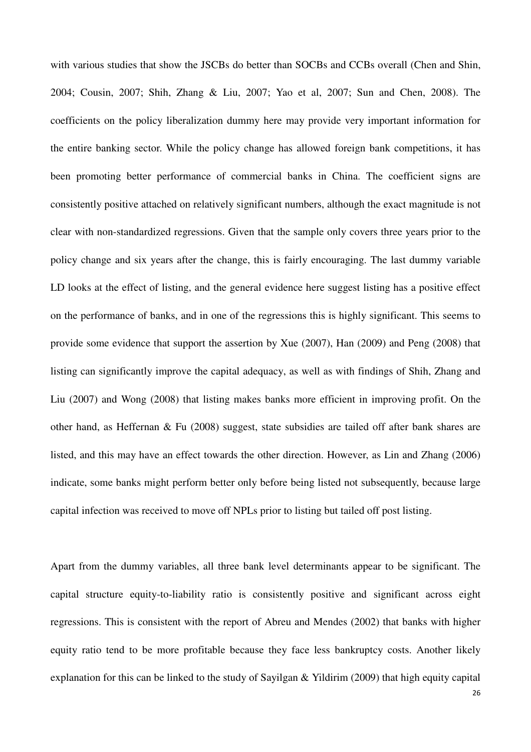with various studies that show the JSCBs do better than SOCBs and CCBs overall (Chen and Shin, 2004; Cousin, 2007; Shih, Zhang & Liu, 2007; Yao et al, 2007; Sun and Chen, 2008). The coefficients on the policy liberalization dummy here may provide very important information for the entire banking sector. While the policy change has allowed foreign bank competitions, it has been promoting better performance of commercial banks in China. The coefficient signs are consistently positive attached on relatively significant numbers, although the exact magnitude is not clear with non-standardized regressions. Given that the sample only covers three years prior to the policy change and six years after the change, this is fairly encouraging. The last dummy variable LD looks at the effect of listing, and the general evidence here suggest listing has a positive effect on the performance of banks, and in one of the regressions this is highly significant. This seems to provide some evidence that support the assertion by Xue (2007), Han (2009) and Peng (2008) that listing can significantly improve the capital adequacy, as well as with findings of Shih, Zhang and Liu (2007) and Wong (2008) that listing makes banks more efficient in improving profit. On the other hand, as Heffernan & Fu (2008) suggest, state subsidies are tailed off after bank shares are listed, and this may have an effect towards the other direction. However, as Lin and Zhang (2006) indicate, some banks might perform better only before being listed not subsequently, because large capital infection was received to move off NPLs prior to listing but tailed off post listing.

Apart from the dummy variables, all three bank level determinants appear to be significant. The capital structure equity-to-liability ratio is consistently positive and significant across eight regressions. This is consistent with the report of Abreu and Mendes (2002) that banks with higher equity ratio tend to be more profitable because they face less bankruptcy costs. Another likely explanation for this can be linked to the study of Sayilgan & Yildirim (2009) that high equity capital

26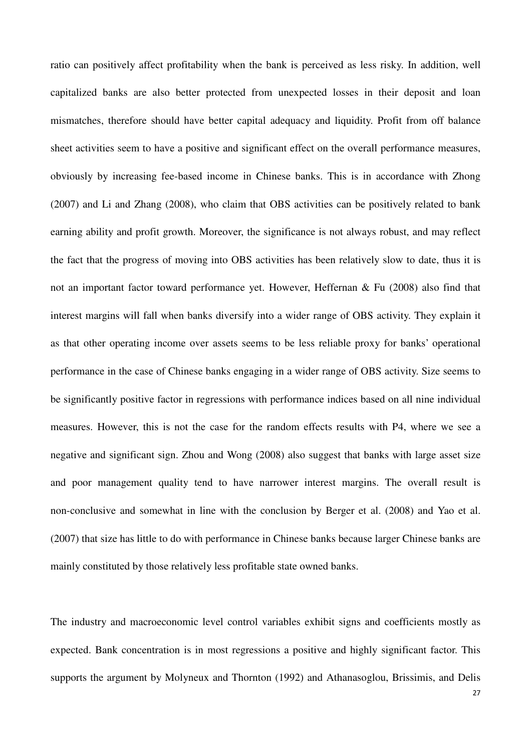ratio can positively affect profitability when the bank is perceived as less risky. In addition, well capitalized banks are also better protected from unexpected losses in their deposit and loan mismatches, therefore should have better capital adequacy and liquidity. Profit from off balance sheet activities seem to have a positive and significant effect on the overall performance measures, obviously by increasing fee-based income in Chinese banks. This is in accordance with Zhong (2007) and Li and Zhang (2008), who claim that OBS activities can be positively related to bank earning ability and profit growth. Moreover, the significance is not always robust, and may reflect the fact that the progress of moving into OBS activities has been relatively slow to date, thus it is not an important factor toward performance yet. However, Heffernan & Fu (2008) also find that interest margins will fall when banks diversify into a wider range of OBS activity. They explain it as that other operating income over assets seems to be less reliable proxy for banks' operational performance in the case of Chinese banks engaging in a wider range of OBS activity. Size seems to be significantly positive factor in regressions with performance indices based on all nine individual measures. However, this is not the case for the random effects results with P4, where we see a negative and significant sign. Zhou and Wong (2008) also suggest that banks with large asset size and poor management quality tend to have narrower interest margins. The overall result is non-conclusive and somewhat in line with the conclusion by Berger et al. (2008) and Yao et al. (2007) that size has little to do with performance in Chinese banks because larger Chinese banks are mainly constituted by those relatively less profitable state owned banks.

The industry and macroeconomic level control variables exhibit signs and coefficients mostly as expected. Bank concentration is in most regressions a positive and highly significant factor. This supports the argument by Molyneux and Thornton (1992) and Athanasoglou, Brissimis, and Delis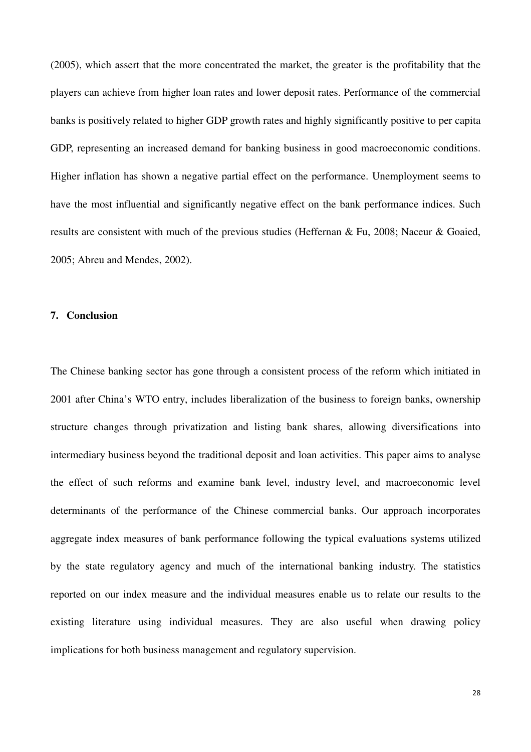(2005), which assert that the more concentrated the market, the greater is the profitability that the players can achieve from higher loan rates and lower deposit rates. Performance of the commercial banks is positively related to higher GDP growth rates and highly significantly positive to per capita GDP, representing an increased demand for banking business in good macroeconomic conditions. Higher inflation has shown a negative partial effect on the performance. Unemployment seems to have the most influential and significantly negative effect on the bank performance indices. Such results are consistent with much of the previous studies (Heffernan & Fu, 2008; Naceur & Goaied, 2005; Abreu and Mendes, 2002).

#### **7. Conclusion**

The Chinese banking sector has gone through a consistent process of the reform which initiated in 2001 after China's WTO entry, includes liberalization of the business to foreign banks, ownership structure changes through privatization and listing bank shares, allowing diversifications into intermediary business beyond the traditional deposit and loan activities. This paper aims to analyse the effect of such reforms and examine bank level, industry level, and macroeconomic level determinants of the performance of the Chinese commercial banks. Our approach incorporates aggregate index measures of bank performance following the typical evaluations systems utilized by the state regulatory agency and much of the international banking industry. The statistics reported on our index measure and the individual measures enable us to relate our results to the existing literature using individual measures. They are also useful when drawing policy implications for both business management and regulatory supervision.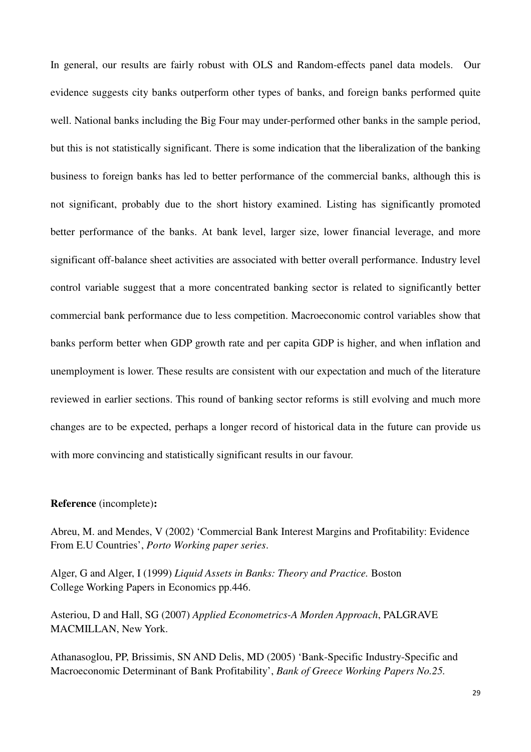In general, our results are fairly robust with OLS and Random-effects panel data models. Our evidence suggests city banks outperform other types of banks, and foreign banks performed quite well. National banks including the Big Four may under-performed other banks in the sample period, but this is not statistically significant. There is some indication that the liberalization of the banking business to foreign banks has led to better performance of the commercial banks, although this is not significant, probably due to the short history examined. Listing has significantly promoted better performance of the banks. At bank level, larger size, lower financial leverage, and more significant off-balance sheet activities are associated with better overall performance. Industry level control variable suggest that a more concentrated banking sector is related to significantly better commercial bank performance due to less competition. Macroeconomic control variables show that banks perform better when GDP growth rate and per capita GDP is higher, and when inflation and unemployment is lower. These results are consistent with our expectation and much of the literature reviewed in earlier sections. This round of banking sector reforms is still evolving and much more changes are to be expected, perhaps a longer record of historical data in the future can provide us with more convincing and statistically significant results in our favour.

### **Reference** (incomplete)**:**

Abreu, M. and Mendes, V (2002) 'Commercial Bank Interest Margins and Profitability: Evidence From E.U Countries', *Porto Working paper series*.

Alger, G and Alger, I (1999) *Liquid Assets in Banks: Theory and Practice.* Boston College Working Papers in Economics pp.446.

Asteriou, D and Hall, SG (2007) *Applied Econometrics-A Morden Approach*, PALGRAVE MACMILLAN, New York.

Athanasoglou, PP, Brissimis, SN AND Delis, MD (2005) 'Bank-Specific Industry-Specific and Macroeconomic Determinant of Bank Profitability', *Bank of Greece Working Papers No.25.*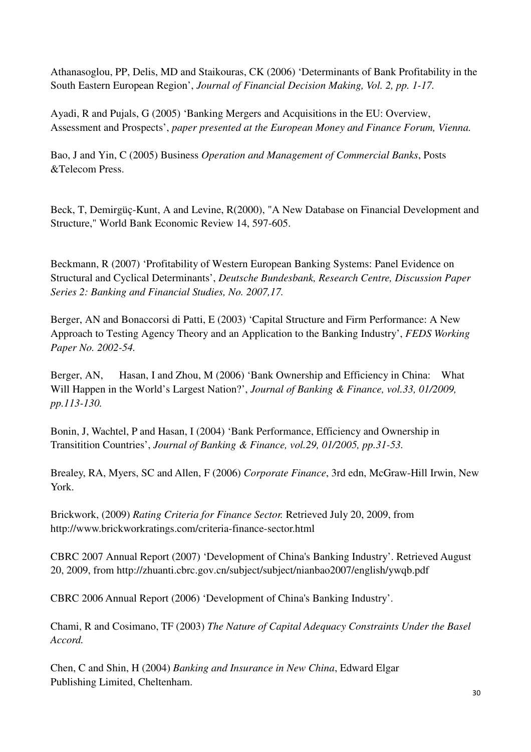Athanasoglou, PP, Delis, MD and Staikouras, CK (2006) 'Determinants of Bank Profitability in the South Eastern European Region', *Journal of Financial Decision Making, Vol. 2, pp. 1-17.*

Ayadi, R and Pujals, G (2005) 'Banking Mergers and Acquisitions in the EU: Overview, Assessment and Prospects', *paper presented at the European Money and Finance Forum, Vienna.*

Bao, J and Yin, C (2005) Business *Operation and Management of Commercial Banks*, Posts &Telecom Press.

Beck, T, Demirgüç-Kunt, A and Levine, R(2000), "A New Database on Financial Development and Structure," World Bank Economic Review 14, 597-605.

Beckmann, R (2007) 'Profitability of Western European Banking Systems: Panel Evidence on Structural and Cyclical Determinants', *Deutsche Bundesbank, Research Centre, Discussion Paper Series 2: Banking and Financial Studies, No. 2007,17.*

Berger, AN and Bonaccorsi di Patti, E (2003) 'Capital Structure and Firm Performance: A New Approach to Testing Agency Theory and an Application to the Banking Industry', *FEDS Working Paper No. 2002-54.*

Berger, AN, Hasan, I and Zhou, M (2006) 'Bank Ownership and Efficiency in China: What Will Happen in the World's Largest Nation?', *Journal of Banking & Finance, vol.33, 01/2009, pp.113-130.*

Bonin, J, Wachtel, P and Hasan, I (2004) 'Bank Performance, Efficiency and Ownership in Transitition Countries', *Journal of Banking & Finance, vol.29, 01/2005, pp.31-53.*

Brealey, RA, Myers, SC and Allen, F (2006) *Corporate Finance*, 3rd edn, McGraw-Hill Irwin, New York.

Brickwork, (2009) *Rating Criteria for Finance Sector.* Retrieved July 20, 2009, from http://www.brickworkratings.com/criteria-finance-sector.html

CBRC 2007 Annual Report (2007) 'Development of China's Banking Industry'. Retrieved August 20, 2009, from http://zhuanti.cbrc.gov.cn/subject/subject/nianbao2007/english/ywqb.pdf

CBRC 2006 Annual Report (2006) 'Development of China's Banking Industry'.

Chami, R and Cosimano, TF (2003) *The Nature of Capital Adequacy Constraints Under the Basel Accord.*

Chen, C and Shin, H (2004) *Banking and Insurance in New China*, Edward Elgar Publishing Limited, Cheltenham.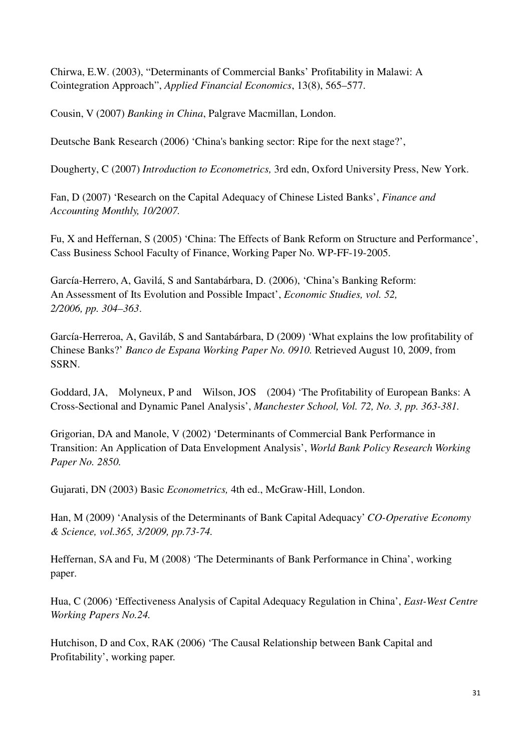Chirwa, E.W. (2003), "Determinants of Commercial Banks' Profitability in Malawi: A Cointegration Approach", *Applied Financial Economics*, 13(8), 565–577.

Cousin, V (2007) *Banking in China*, Palgrave Macmillan, London.

Deutsche Bank Research (2006) 'China's banking sector: Ripe for the next stage?',

Dougherty, C (2007) *Introduction to Econometrics,* 3rd edn, Oxford University Press, New York.

Fan, D (2007) 'Research on the Capital Adequacy of Chinese Listed Banks', *Finance and Accounting Monthly, 10/2007.*

Fu, X and Heffernan, S (2005) 'China: The Effects of Bank Reform on Structure and Performance', Cass Business School Faculty of Finance, Working Paper No. WP-FF-19-2005.

García-Herrero, A, Gavilá, S and Santabárbara, D. (2006), 'China's Banking Reform: An Assessment of Its Evolution and Possible Impact', *Economic Studies, vol. 52, 2/2006, pp. 304–363*.

García-Herreroa, A, Gaviláb, S and Santabárbara, D (2009) 'What explains the low profitability of Chinese Banks?' *Banco de Espana Working Paper No. 0910.* Retrieved August 10, 2009, from SSRN.

Goddard, JA, Molyneux, P and Wilson, JOS (2004) 'The Profitability of European Banks: A Cross-Sectional and Dynamic Panel Analysis', *Manchester School, Vol. 72, No. 3, pp. 363-381.*

Grigorian, DA and Manole, V (2002) 'Determinants of Commercial Bank Performance in Transition: An Application of Data Envelopment Analysis', *World Bank Policy Research Working Paper No. 2850.*

Gujarati, DN (2003) Basic *Econometrics,* 4th ed., McGraw-Hill, London.

Han, M (2009) 'Analysis of the Determinants of Bank Capital Adequacy' *CO-Operative Economy & Science, vol.365, 3/2009, pp.73-74.*

Heffernan, SA and Fu, M (2008) 'The Determinants of Bank Performance in China', working paper.

Hua, C (2006) 'Effectiveness Analysis of Capital Adequacy Regulation in China', *East-West Centre Working Papers No.24.*

Hutchison, D and Cox, RAK (2006) 'The Causal Relationship between Bank Capital and Profitability', working paper.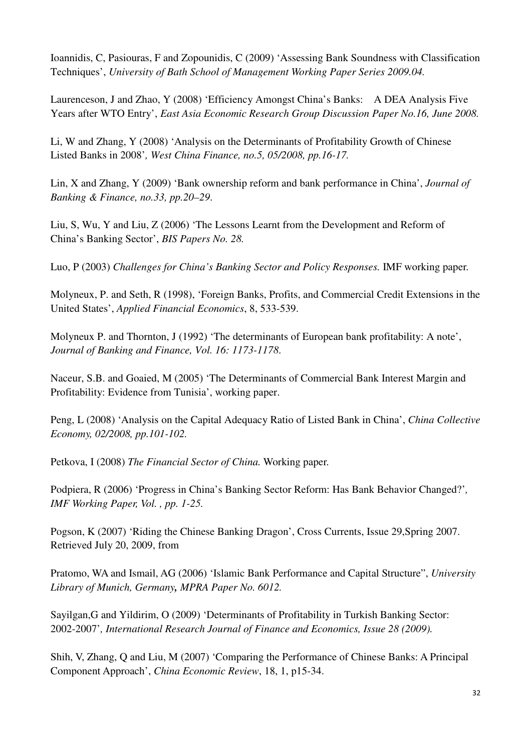Ioannidis, C, Pasiouras, F and Zopounidis, C (2009) 'Assessing Bank Soundness with Classification Techniques', *University of Bath School of Management Working Paper Series 2009.04.*

Laurenceson, J and Zhao, Y (2008) 'Efficiency Amongst China's Banks: A DEA Analysis Five Years after WTO Entry', *East Asia Economic Research Group Discussion Paper No.16, June 2008.*

Li, W and Zhang, Y (2008) 'Analysis on the Determinants of Profitability Growth of Chinese Listed Banks in 2008'*, West China Finance, no.5, 05/2008, pp.16-17.*

Lin, X and Zhang, Y (2009) 'Bank ownership reform and bank performance in China', *Journal of Banking & Finance, no.33, pp.20–29*.

Liu, S, Wu, Y and Liu, Z (2006) 'The Lessons Learnt from the Development and Reform of China's Banking Sector', *BIS Papers No. 28.*

Luo, P (2003) *Challenges for China's Banking Sector and Policy Responses.* IMF working paper.

Molyneux, P. and Seth, R (1998), 'Foreign Banks, Profits, and Commercial Credit Extensions in the United States', *Applied Financial Economics*, 8, 533-539.

Molyneux P. and Thornton, J (1992) 'The determinants of European bank profitability: A note', *Journal of Banking and Finance, Vol. 16: 1173-1178*.

Naceur, S.B. and Goaied, M (2005) 'The Determinants of Commercial Bank Interest Margin and Profitability: Evidence from Tunisia', working paper.

Peng, L (2008) 'Analysis on the Capital Adequacy Ratio of Listed Bank in China', *China Collective Economy, 02/2008, pp.101-102.*

Petkova, I (2008) *The Financial Sector of China.* Working paper.

Podpiera, R (2006) 'Progress in China's Banking Sector Reform: Has Bank Behavior Changed?'*, IMF Working Paper, Vol. , pp. 1-25.* 

Pogson, K (2007) 'Riding the Chinese Banking Dragon', Cross Currents, Issue 29,Spring 2007. Retrieved July 20, 2009, from

Pratomo, WA and Ismail, AG (2006) 'Islamic Bank Performance and Capital Structure", *University Library of Munich, Germany, MPRA Paper No. 6012.*

Sayilgan,G and Yildirim, O (2009) 'Determinants of Profitability in Turkish Banking Sector: 2002-2007'*, International Research Journal of Finance and Economics, Issue 28 (2009).*

Shih, V, Zhang, Q and Liu, M (2007) 'Comparing the Performance of Chinese Banks: A Principal Component Approach', *China Economic Review*, 18, 1, p15-34.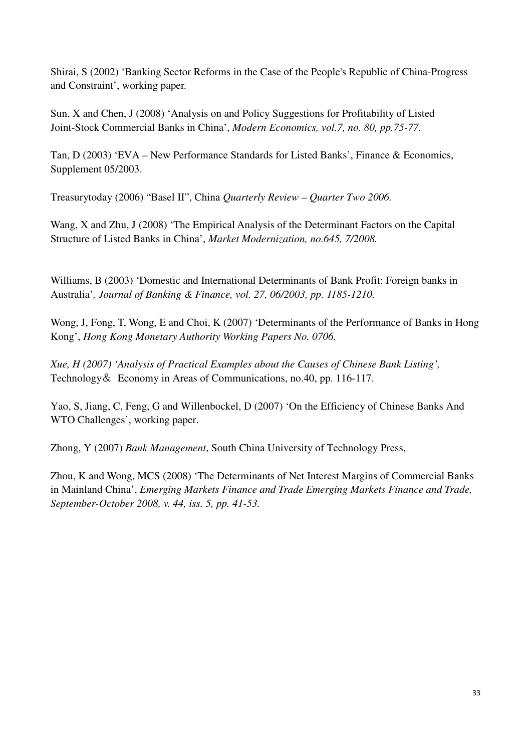Shirai, S (2002) 'Banking Sector Reforms in the Case of the People's Republic of China-Progress and Constraint', working paper.

Sun, X and Chen, J (2008) 'Analysis on and Policy Suggestions for Profitability of Listed Joint-Stock Commercial Banks in China', *Modern Economics, vol.7, no. 80, pp.75-77.*

Tan, D (2003) 'EVA – New Performance Standards for Listed Banks', Finance & Economics, Supplement 05/2003.

Treasurytoday (2006) "Basel II", China *Quarterly Review – Quarter Two 2006.* 

Wang, X and Zhu, J (2008) 'The Empirical Analysis of the Determinant Factors on the Capital Structure of Listed Banks in China', *Market Modernization, no.645, 7/2008.*

Williams, B (2003) 'Domestic and International Determinants of Bank Profit: Foreign banks in Australia'*, Journal of Banking & Finance, vol. 27, 06/2003, pp. 1185-1210.*

Wong, J, Fong, T, Wong, E and Choi, K (2007) 'Determinants of the Performance of Banks in Hong Kong', *Hong Kong Monetary Authority Working Papers No. 0706.*

*Xue, H (2007) 'Analysis of Practical Examples about the Causes of Chinese Bank Listing',*  Technology& Economy in Areas of Communications, no.40, pp. 116-117.

Yao, S, Jiang, C, Feng, G and Willenbockel, D (2007) 'On the Efficiency of Chinese Banks And WTO Challenges', working paper.

Zhong, Y (2007) *Bank Management*, South China University of Technology Press,

Zhou, K and Wong, MCS (2008) 'The Determinants of Net Interest Margins of Commercial Banks in Mainland China', *Emerging Markets Finance and Trade Emerging Markets Finance and Trade, September-October 2008, v. 44, iss. 5, pp. 41-53.*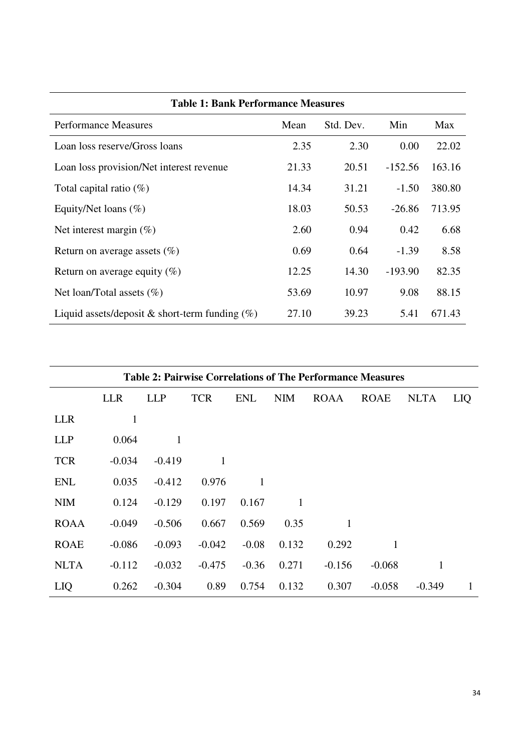| <b>Table 1: Bank Performance Measures</b>         |       |           |           |        |  |  |
|---------------------------------------------------|-------|-----------|-----------|--------|--|--|
| <b>Performance Measures</b>                       | Mean  | Std. Dev. | Min       | Max    |  |  |
| Loan loss reserve/Gross loans                     | 2.35  | 2.30      | 0.00      | 22.02  |  |  |
| Loan loss provision/Net interest revenue          | 21.33 | 20.51     | $-152.56$ | 163.16 |  |  |
| Total capital ratio $(\%)$                        | 14.34 | 31.21     | $-1.50$   | 380.80 |  |  |
| Equity/Net loans $(\%)$                           | 18.03 | 50.53     | $-26.86$  | 713.95 |  |  |
| Net interest margin $(\%)$                        | 2.60  | 0.94      | 0.42      | 6.68   |  |  |
| Return on average assets $(\% )$                  | 0.69  | 0.64      | $-1.39$   | 8.58   |  |  |
| Return on average equity $(\%)$                   | 12.25 | 14.30     | $-193.90$ | 82.35  |  |  |
| Net loan/Total assets $(\%)$                      | 53.69 | 10.97     | 9.08      | 88.15  |  |  |
| Liquid assets/deposit & short-term funding $(\%)$ | 27.10 | 39.23     | 5.41      | 671.43 |  |  |

| <b>Table 2: Pairwise Correlations of The Performance Measures</b> |            |            |            |            |            |             |             |              |            |
|-------------------------------------------------------------------|------------|------------|------------|------------|------------|-------------|-------------|--------------|------------|
|                                                                   | <b>LLR</b> | <b>LLP</b> | <b>TCR</b> | <b>ENL</b> | <b>NIM</b> | <b>ROAA</b> | <b>ROAE</b> | <b>NLTA</b>  | <b>LIQ</b> |
| <b>LLR</b>                                                        | 1          |            |            |            |            |             |             |              |            |
| <b>LLP</b>                                                        | 0.064      | 1          |            |            |            |             |             |              |            |
| <b>TCR</b>                                                        | $-0.034$   | $-0.419$   | 1          |            |            |             |             |              |            |
| <b>ENL</b>                                                        | 0.035      | $-0.412$   | 0.976      | 1          |            |             |             |              |            |
| <b>NIM</b>                                                        | 0.124      | $-0.129$   | 0.197      | 0.167      |            |             |             |              |            |
| <b>ROAA</b>                                                       | $-0.049$   | $-0.506$   | 0.667      | 0.569      | 0.35       | 1           |             |              |            |
| <b>ROAE</b>                                                       | $-0.086$   | $-0.093$   | $-0.042$   | $-0.08$    | 0.132      | 0.292       | 1           |              |            |
| <b>NLTA</b>                                                       | $-0.112$   | $-0.032$   | $-0.475$   | $-0.36$    | 0.271      | $-0.156$    | $-0.068$    | $\mathbf{1}$ |            |
| LIQ                                                               | 0.262      | $-0.304$   | 0.89       | 0.754      | 0.132      | 0.307       | $-0.058$    | $-0.349$     | 1          |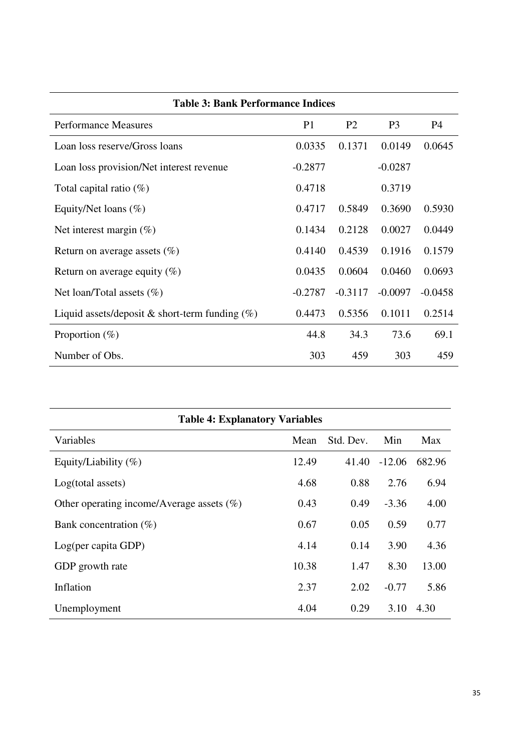| <b>Table 3: Bank Performance Indices</b>          |                |                |                |           |  |  |
|---------------------------------------------------|----------------|----------------|----------------|-----------|--|--|
| <b>Performance Measures</b>                       | P <sub>1</sub> | P <sub>2</sub> | P <sub>3</sub> | <b>P4</b> |  |  |
| Loan loss reserve/Gross loans                     | 0.0335         | 0.1371         | 0.0149         | 0.0645    |  |  |
| Loan loss provision/Net interest revenue          | $-0.2877$      |                | $-0.0287$      |           |  |  |
| Total capital ratio $(\%)$                        | 0.4718         |                | 0.3719         |           |  |  |
| Equity/Net loans $(\%)$                           | 0.4717         | 0.5849         | 0.3690         | 0.5930    |  |  |
| Net interest margin $(\%)$                        | 0.1434         | 0.2128         | 0.0027         | 0.0449    |  |  |
| Return on average assets $(\%)$                   | 0.4140         | 0.4539         | 0.1916         | 0.1579    |  |  |
| Return on average equity $(\%)$                   | 0.0435         | 0.0604         | 0.0460         | 0.0693    |  |  |
| Net loan/Total assets $(\%)$                      | $-0.2787$      | $-0.3117$      | $-0.0097$      | $-0.0458$ |  |  |
| Liquid assets/deposit & short-term funding $(\%)$ | 0.4473         | 0.5356         | 0.1011         | 0.2514    |  |  |
| Proportion $(\%)$                                 | 44.8           | 34.3           | 73.6           | 69.1      |  |  |
| Number of Obs.                                    | 303            | 459            | 303            | 459       |  |  |

| <b>Table 4: Explanatory Variables</b>        |       |           |          |        |  |  |
|----------------------------------------------|-------|-----------|----------|--------|--|--|
| Variables                                    | Mean  | Std. Dev. | Min      | Max    |  |  |
| Equity/Liability $(\%)$                      | 12.49 | 41.40     | $-12.06$ | 682.96 |  |  |
| Log(total assets)                            | 4.68  | 0.88      | 2.76     | 6.94   |  |  |
| Other operating income/Average assets $(\%)$ | 0.43  | 0.49      | $-3.36$  | 4.00   |  |  |
| Bank concentration $(\%)$                    | 0.67  | 0.05      | 0.59     | 0.77   |  |  |
| Log(per capita GDP)                          | 4.14  | 0.14      | 3.90     | 4.36   |  |  |
| GDP growth rate                              | 10.38 | 1.47      | 8.30     | 13.00  |  |  |
| Inflation                                    | 2.37  | 2.02      | $-0.77$  | 5.86   |  |  |
| Unemployment                                 | 4.04  | 0.29      | 3.10     | 4.30   |  |  |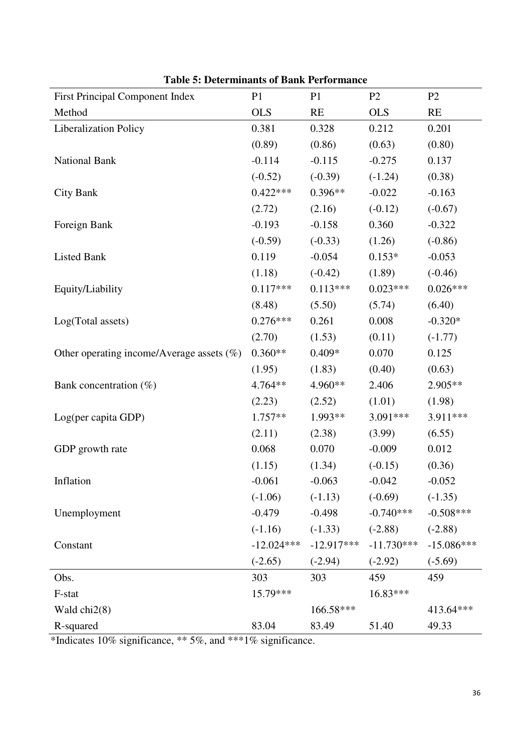| <b>First Principal Component Index</b>       | P <sub>1</sub> | P <sub>1</sub> | P2           | P <sub>2</sub> |
|----------------------------------------------|----------------|----------------|--------------|----------------|
| Method                                       | <b>OLS</b>     | RE             | <b>OLS</b>   | RE             |
| Liberalization Policy                        | 0.381          | 0.328          | 0.212        | 0.201          |
|                                              | (0.89)         | (0.86)         | (0.63)       | (0.80)         |
| National Bank                                | $-0.114$       | $-0.115$       | $-0.275$     | 0.137          |
|                                              | $(-0.52)$      | $(-0.39)$      | $(-1.24)$    | (0.38)         |
| <b>City Bank</b>                             | $0.422***$     | $0.396**$      | $-0.022$     | $-0.163$       |
|                                              | (2.72)         | (2.16)         | $(-0.12)$    | $(-0.67)$      |
| Foreign Bank                                 | $-0.193$       | $-0.158$       | 0.360        | $-0.322$       |
|                                              | $(-0.59)$      | $(-0.33)$      | (1.26)       | $(-0.86)$      |
| <b>Listed Bank</b>                           | 0.119          | $-0.054$       | $0.153*$     | $-0.053$       |
|                                              | (1.18)         | $(-0.42)$      | (1.89)       | $(-0.46)$      |
| Equity/Liability                             | $0.117***$     | $0.113***$     | $0.023***$   | $0.026***$     |
|                                              | (8.48)         | (5.50)         | (5.74)       | (6.40)         |
| Log(Total assets)                            | $0.276***$     | 0.261          | 0.008        | $-0.320*$      |
|                                              | (2.70)         | (1.53)         | (0.11)       | $(-1.77)$      |
| Other operating income/Average assets $(\%)$ | $0.360**$      | $0.409*$       | 0.070        | 0.125          |
|                                              | (1.95)         | (1.83)         | (0.40)       | (0.63)         |
| Bank concentration $(\%)$                    | 4.764**        | 4.960**        | 2.406        | 2.905**        |
|                                              | (2.23)         | (2.52)         | (1.01)       | (1.98)         |
| Log(per capita GDP)                          | 1.757**        | 1.993**        | 3.091***     | 3.911***       |
|                                              | (2.11)         | (2.38)         | (3.99)       | (6.55)         |
| GDP growth rate                              | 0.068          | 0.070          | $-0.009$     | 0.012          |
|                                              | (1.15)         | (1.34)         | $(-0.15)$    | (0.36)         |
| Inflation                                    | $-0.061$       | $-0.063$       | $-0.042$     | $-0.052$       |
|                                              | $(-1.06)$      | $(-1.13)$      | $(-0.69)$    | $(-1.35)$      |
| Unemployment                                 | $-0.479$       | $-0.498$       | $-0.740***$  | $-0.508***$    |
|                                              | $(-1.16)$      | $(-1.33)$      | $(-2.88)$    | $(-2.88)$      |
| Constant                                     | $-12.024***$   | $-12.917***$   | $-11.730***$ | $-15.086***$   |
|                                              | $(-2.65)$      | $(-2.94)$      | $(-2.92)$    | $(-5.69)$      |
| Obs.                                         | 303            | 303            | 459          | 459            |
| F-stat                                       | 15.79***       |                | 16.83***     |                |
| Wald $chi2(8)$                               |                | 166.58***      |              | 413.64***      |
| R-squared                                    | 83.04          | 83.49          | 51.40        | 49.33          |

**Table 5: Determinants of Bank Performance** 

\*Indicates 10% significance, \*\* 5%, and \*\*\*1% significance.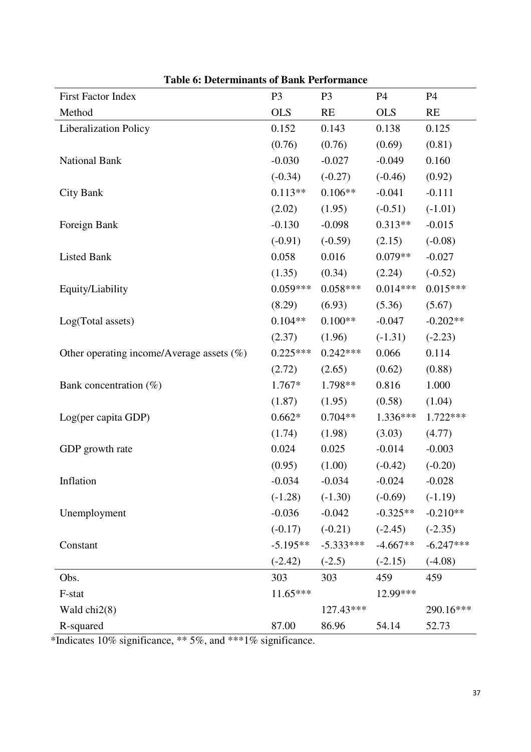| I avit v. Determinants vr Dank I erformante<br>First Factor Index | P <sub>3</sub> | P <sub>3</sub> | P4         | P4          |
|-------------------------------------------------------------------|----------------|----------------|------------|-------------|
| Method                                                            | <b>OLS</b>     | RE             | <b>OLS</b> | RE          |
|                                                                   |                |                |            |             |
| <b>Liberalization Policy</b>                                      | 0.152          | 0.143          | 0.138      | 0.125       |
|                                                                   | (0.76)         | (0.76)         | (0.69)     | (0.81)      |
| National Bank                                                     | $-0.030$       | $-0.027$       | $-0.049$   | 0.160       |
|                                                                   | $(-0.34)$      | $(-0.27)$      | $(-0.46)$  | (0.92)      |
| <b>City Bank</b>                                                  | $0.113**$      | $0.106**$      | $-0.041$   | $-0.111$    |
|                                                                   | (2.02)         | (1.95)         | $(-0.51)$  | $(-1.01)$   |
| Foreign Bank                                                      | $-0.130$       | $-0.098$       | $0.313**$  | $-0.015$    |
|                                                                   | $(-0.91)$      | $(-0.59)$      | (2.15)     | $(-0.08)$   |
| <b>Listed Bank</b>                                                | 0.058          | 0.016          | $0.079**$  | $-0.027$    |
|                                                                   | (1.35)         | (0.34)         | (2.24)     | $(-0.52)$   |
| Equity/Liability                                                  | $0.059***$     | $0.058***$     | $0.014***$ | $0.015***$  |
|                                                                   | (8.29)         | (6.93)         | (5.36)     | (5.67)      |
| Log(Total assets)                                                 | $0.104**$      | $0.100**$      | $-0.047$   | $-0.202**$  |
|                                                                   | (2.37)         | (1.96)         | $(-1.31)$  | $(-2.23)$   |
| Other operating income/Average assets (%)                         | $0.225***$     | $0.242***$     | 0.066      | 0.114       |
|                                                                   | (2.72)         | (2.65)         | (0.62)     | (0.88)      |
| Bank concentration $(\%)$                                         | $1.767*$       | 1.798**        | 0.816      | 1.000       |
|                                                                   | (1.87)         | (1.95)         | (0.58)     | (1.04)      |
| Log(per capita GDP)                                               | $0.662*$       | $0.704**$      | 1.336***   | $1.722***$  |
|                                                                   | (1.74)         | (1.98)         | (3.03)     | (4.77)      |
| GDP growth rate                                                   | 0.024          | 0.025          | $-0.014$   | $-0.003$    |
|                                                                   | (0.95)         | (1.00)         | $(-0.42)$  | $(-0.20)$   |
| Inflation                                                         | $-0.034$       | $-0.034$       | $-0.024$   | $-0.028$    |
|                                                                   | $(-1.28)$      | $(-1.30)$      | $(-0.69)$  | $(-1.19)$   |
| Unemployment                                                      | $-0.036$       | $-0.042$       | $-0.325**$ | $-0.210**$  |
|                                                                   | $(-0.17)$      | $(-0.21)$      | $(-2.45)$  | $(-2.35)$   |
| Constant                                                          | $-5.195**$     | $-5.333***$    | $-4.667**$ | $-6.247***$ |
|                                                                   | $(-2.42)$      | $(-2.5)$       | $(-2.15)$  | $(-4.08)$   |
| Obs.                                                              | 303            | 303            | 459        | 459         |
| F-stat                                                            | $11.65***$     |                | 12.99***   |             |
| Wald $chi2(8)$                                                    |                | 127.43***      |            | 290.16***   |
| R-squared                                                         | 87.00          | 86.96          | 54.14      | 52.73       |

**Table 6: Determinants of Bank Performance** 

\*Indicates 10% significance, \*\* 5%, and \*\*\*1% significance.